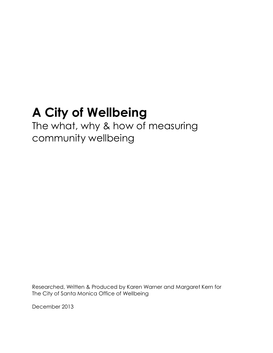# **A City of Wellbeing**

## The what, why & how of measuring community wellbeing

Researched, Written & Produced by Karen Warner and Margaret Kern for The City of Santa Monica Office of Wellbeing

December 2013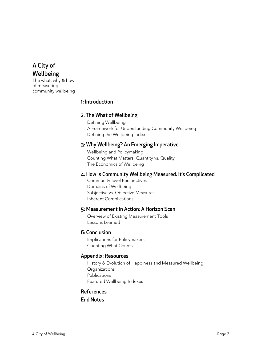## A City of Wellbeing

The what, why & how of measuring community wellbeing

## 1: Introduction

## 2: The What of Wellbeing

Defining Wellbeing A Framework for Understanding Community Wellbeing Defining the Wellbeing Index

## 3: Why Wellbeing? An Emerging Imperative

Wellbeing and Policymaking Counting What Matters: Quantity vs. Quality The Economics of Wellbeing

## 4: How Is Community Wellbeing Measured: It's Complicated

Community-level Perspectives Domains of Wellbeing Subjective vs. Objective Measures Inherent Complications

## 5: Measurement In Action: A Horizon Scan

Overview of Existing Measurement Tools Lessons Learned

## 6: Conclusion

Implications for Policymakers Counting What Counts

## Appendix: Resources

History & Evolution of Happiness and Measured Wellbeing **Organizations** Publications Featured Wellbeing Indexes

## References

End Notes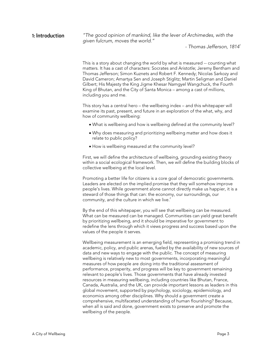#### **1: Introduction** "The good opinion of mankind, like the lever of Archimedes, with the given fulcrum, moves the world."

 $-$  Thomas Jefferson, 1814 $^1$ 

This is a story about changing the world by what is measured -- counting what matters. It has a cast of characters: Socrates and Aristotle; Jeremy Bentham and Thomas Jefferson; Simon Kuznets and Robert F. Kennedy; Nicolas Sarkozy and David Cameron; Amartya Sen and Joseph Stiglitz; Martin Seligman and Daniel Gilbert; His Majesty the King Jigme Khesar Namgyel Wangchuck, the Fourth King of Bhutan, and the City of Santa Monica – among a cast of millions, including you and me.

This story has a central hero – the wellbeing index – and this whitepaper will examine its past, present, and future in an exploration of the what, why, and how of community wellbeing:

- What is wellbeing and how is wellbeing defined at the community level?
- Why does measuring and prioritizing wellbeing matter and how does it relate to public policy?
- How is wellbeing measured at the community level?

First, we will define the architecture of wellbeing, grounding existing theory within a social ecological framework. Then, we will define the building blocks of collective wellbeing at the local level.

Promoting a better life for citizens is a core goal of democratic governments. Leaders are elected on the implied promise that they will somehow improve people's lives. While government alone cannot directly make us happier, it is a steward of those things that can: the economy, our surroundings, our community, and the culture in which we live.<sup>2</sup>

By the end of this whitepaper, you will see that wellbeing can be measured. What can be measured can be managed. Communities can yield great benefit by prioritizing wellbeing, and it should be imperative for government to redefine the lens through which it views progress and success based upon the values of the people it serves.

Wellbeing measurement is an emerging field, representing a promising trend in academic, policy, and public arenas, fueled by the availability of new sources of data and new ways to engage with the public. The concept of measuring wellbeing is relatively new to most governments, incorporating meaningful measures of how people are doing into the traditional assessment of performance, prosperity, and progress will be key to government remaining relevant to people's lives. Those governments that have already invested resources in measuring wellbeing, including countries like Bhutan, France, Canada, Australia, and the UK, can provide important lessons as leaders in this global movement, supported by psychology, sociology, epidemiology, and economics among other disciplines. Why should a government create a comprehensive, multifaceted understanding of human flourishing? Because, when all is said and done, government exists to preserve and promote the wellbeing of the people.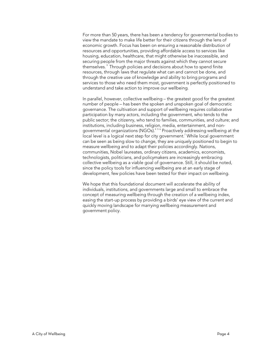For more than 50 years, there has been a tendency for governmental bodies to view the mandate to make life better for their citizens through the lens of economic growth. Focus has been on ensuring a reasonable distribution of resources and opportunities, providing affordable access to services like housing, education, healthcare, that might otherwise be inaccessible, and securing people from the major threats against which they cannot secure themselves. 3 Through policies and decisions about how to spend finite resources, through laws that regulate what can and cannot be done, and through the creative use of knowledge and ability to bring programs and services to those who need them most, government is perfectly positioned to understand and take action to improve our wellbeing.

In parallel, however, collective wellbeing – the greatest good for the greatest number of people – has been the spoken and unspoken goal of democratic governance. The cultivation and support of wellbeing requires collaborative participation by many actors, including the government, who tends to the public sector; the citizenry, who tend to families, communities, and culture; and institutions, including business, religion, media, entertainment, and nongovernmental organizations (NGOs).<sup>456</sup> Proactively addressing wellbeing at the local level is a logical next step for city government.<sup>7</sup> While local government can be seen as being slow to change, they are uniquely positioned to begin to measure wellbeing and to adapt their policies accordingly. Nations, communities, Nobel laureates, ordinary citizens, academics, economists, technologists, politicians, and policymakers are increasingly embracing collective wellbeing as a viable goal of governance. Still, it should be noted, since the policy tools for influencing wellbeing are at an early stage of development, few policies have been tested for their impact on wellbeing.

We hope that this foundational document will accelerate the ability of individuals, institutions, and governments large and small to embrace the concept of measuring wellbeing through the creation of a wellbeing index, easing the start-up process by providing a birds' eye view of the current and quickly moving landscape for marrying wellbeing measurement and government policy.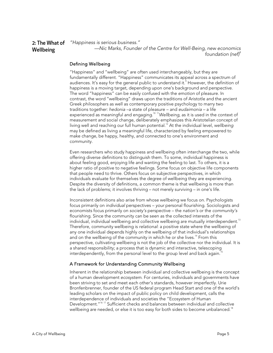2: The What of Wellbeing "Happiness is serious business." —Nic Marks, Founder of the Centre for Well-Being, new economics foundation (nef) $8<sup>8</sup>$ 

#### Defining Wellbeing

"Happiness" and "wellbeing" are often used interchangeably, but they are fundamentally different. "Happiness" communicates its appeal across a spectrum of audiences. It's easy for the general public to understand it.<sup>9</sup> However, the definition of happiness is a moving target, depending upon one's background and perspective. The word "happiness" can be easily confused with the emotion of pleasure. In contrast, the word "wellbeing" draws upon the traditions of Aristotle and the ancient Greek philosophers as well as contemporary positive psychology to marry two traditions together: hedonia –a state of pleasure – and eudaimonia – a life experienced as meaningful and engaging. $^{\scriptscriptstyle 10\,\,11}$ Wellbeing, as it is used in the context of measurement and social change, deliberately emphasizes this Aristotelian concept of living well and reaching our full human potential.<sup>12</sup> At the individual level, wellbeing may be defined as living a meaningful life, characterized by feeling empowered to make change, be happy, healthy, and connected to one's environment and community.

Even researchers who study happiness and wellbeing often interchange the two, while offering diverse definitions to distinguish them. To some, individual happiness is about feeling good, enjoying life and wanting the feeling to last. To others, it is a higher ratio of positive to negative feelings. Some focus on objective life components that people need to thrive. Others focus on subjective perspectives, in which individuals evaluate for themselves the degree of wellbeing they are experiencing. Despite the diversity of definitions, a common theme is that wellbeing is more than the lack of problems; it involves thriving – not merely surviving – in one's life.

Inconsistent definitions also arise from whose wellbeing we focus on. Psychologists focus primarily on individual perspectives – your personal flourishing. Sociologists and economists focus primarily on society's perspective – the nation's or the community's flourishing. Since the community can be seen as the collected interests of the individual, individual wellbeing and collective wellbeing are mutually interdependent.<sup>13</sup> Therefore, community wellbeing is relational: a positive state where the wellbeing of any one individual depends highly on the wellbeing of that individual's relationships and on the wellbeing of the community in which he or she lives.<sup>14</sup> From this perspective, cultivating wellbeing is not the job of the collective nor the individual. It is a shared responsibility; a process that is dynamic and interactive, telescoping interdependently, from the personal level to the group level and back again.<sup>15</sup>

#### A Framework for Understanding Community Wellbeing

Inherent in the relationship between individual and collective wellbeing is the concept of a human development ecosystem. For centuries, individuals and governments have been striving to set and meet each other's standards, however imperfectly. Urie Bronfenbrenner, founder of the US federal program Head Start and one of the world's leading scholars on the impact of public policy on child development, calls the interdependence of individuals and societies the "Ecosystem of Human Development.<sup>"16 17</sup> Sufficient checks and balances between individual and collective wellbeing are needed, or else it is too easy for both sides to become unbalanced. $^{\text{\tiny{18}}}$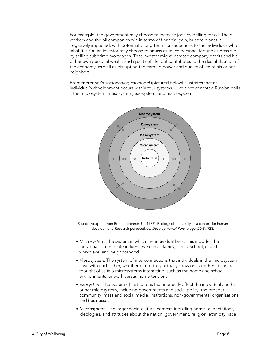For example, the government may choose to increase jobs by drilling for oil. The oil workers and the oil companies win in terms of financial gain, but the planet is negatively impacted, with potentially long-term consequences to the individuals who inhabit it. Or, an investor may choose to amass as much personal fortune as possible by selling subprime mortgages. That investor might increase company profits and his or her own personal wealth and quality of life, but contributes to the destabilization of the economy, as well as disrupting the earning power and quality of life of his or her neighbors.

Bronfenbrenner's socioecological model (pictured below) illustrates that an individual's development occurs within four systems – like a set of nested Russian dolls – the microsystem, mesosystem, exosystem, and macrosystem.



Source: Adapted from Bronfenbrenner, U. (1986). Ecology of the family as a context for human development: Research perspectives. Developmental Psychology, 22(6), 723.

- Microsystem: The system in which the individual lives. This includes the individual's immediate influences, such as family, peers, school, church, workplace, and neighborhood.
- Mesosystem: The system of interconnections that individuals in the microsystem have with each other, whether or not they actually know one another. It can be thought of as two microsystems interacting, such as the home and school environments, or work-versus-home tensions.
- Exosystem: The system of institutions that indirectly affect the individual and his or her microsystem, including governments and social policy, the broader community, mass and social media, institutions, non-governmental organizations, and businesses.
- Macrosystem: The larger socio-cultural context, including norms, expectations, ideologies, and attitudes about the nation, government, religion, ethnicity, race,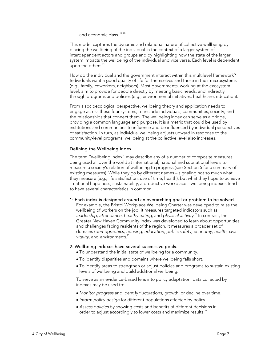and economic class.<sup>19 20</sup>

This model captures the dynamic and relational nature of collective wellbeing by placing the wellbeing of the individual in the context of a larger system of interdependent actors and groups and by highlighting how the state of the larger system impacts the wellbeing of the individual and vice versa. Each level is dependent upon the others. $21$ 

How do the individual and the government interact within this multilevel framework? Individuals want a good quality of life for themselves and those in their microsystems (e.g., family, coworkers, neighbors). Most governments, working at the exosystem level, aim to provide for people directly by meeting basic needs, and indirectly through programs and policies (e.g., environmental initiatives, healthcare, education).

From a socioecological perspective, wellbeing theory and application needs to engage across these four systems, to include individuals, communities, society, and the relationships that connect them. The wellbeing index can serve as a bridge, providing a common language and purpose. It is a metric that could be used by institutions and communities to influence and be influenced by individual perspectives of satisfaction. In turn, as individual wellbeing adjusts upward in response to the community-level programs, wellbeing at the collective level also increases.

#### Defining the Wellbeing Index

The term "wellbeing index" may describe any of a number of composite measures being used all over the world at international, national and subnational levels to measure a society's relation of wellbeing to progress (see Section 5 for a summary of existing measures). While they go by different names – signaling not so much what they measure (e.g., life satisfaction, use of time, health), but what they hope to achieve – national happiness, sustainability, a productive workplace – wellbeing indexes tend to have several characteristics in common.

#### 1: Each index is designed around an overarching goal or problem to be solved.

For example, the Bristol Workplace Wellbeing Charter was developed to raise the wellbeing of workers on the job. It measures targeted indicators such as leadership, attendance, healthy eating, and physical activity.<sup>22</sup> In contrast, the Greater New Haven Community Index was developed to learn about opportunities and challenges facing residents of the region. It measures a broader set of domains (demographics, housing, education, public safety, economy, health, civic vitality, and environment). $^{23}$ 

#### 2: Wellbeing indexes have several successive goals.

- To understand the initial state of wellbeing for a community.
- To identify disparities and domains where wellbeing falls short.
- To identify areas to strengthen or adjust policies and programs to sustain existing levels of wellbeing and build additional wellbeing.

To serve as an evidence-based lens into policy adaptation, data collected by indexes may be used to:

- Monitor progress and identify fluctuations, growth, or decline over time.
- Inform policy design for different populations affected by policy.
- Assess policies by showing costs and benefits of different decisions in order to adjust accordingly to lower costs and maximize results.<sup>24</sup>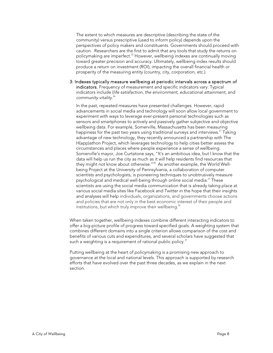The extent to which measures are descriptive (describing the state of the community) versus prescriptive (used to inform policy) depends upon the perspectives of policy makers and constituents. Governments should proceed with caution. Researchers are the first to admit that any tools that study the returns on policymaking are imperfect.<sup>25</sup> However, wellbeing indexes are continually moving toward greater precision and accuracy. Ultimately, wellbeing index results should produce a return on investment (ROI), impacting the overall financial health or prosperity of the measuring entity (country, city, corporation, etc.).

3: Indexes typically measure wellbeing at periodic intervals across a spectrum of indicators. Frequency of measurement and specific indicators vary. Typical indicators include (life satisfaction, the environment, educational attainment, and community vitality.<sup>26</sup>

In the past, repeated measures have presented challenges. However, rapid advancements in social media and technology will soon allow local government to experiment with ways to leverage ever-present personal technologies such as sensors and smartphones to actively and passively gather subjective and objective wellbeing data. For example, Somerville, Massachusetts has been measuring happiness for the past two years using traditional surveys and interviews.<sup>27</sup> Taking advantage of new technology, they recently announced a partnership with The H(app)athon Project, which leverages technology to help cities better assess the circumstances and places where people experience a sense of wellbeing. Somerville's mayor, Joe Curtatone says, "It's an ambitious idea, but I know that the data will help us run the city as much as it will help residents find resources that they might not know about otherwise."<sup>28</sup> As another example, the World Wellbeing Project at the University of Pennsylvania, a collaboration of computer scientists and psychologists, is pioneering techniques to unobtrusively measure psychological and medical well-being through online social media.<sup>29</sup> These scientists are using the social media communication that is already taking place at various social media sites like Facebook and Twitter in the hope that their insights and analyses will help individuals, organizations, and governments choose actions and policies that are not only in the best economic interest of their people and institutions, but which truly improve their wellbeing. $30$ 

When taken together, wellbeing indexes combine different interacting indicators to offer a big-picture profile of progress toward specified goals. A weighting system that combines different domains into a single criterion allows comparison of the cost and benefits of various cuts and expenditures, and several scholars have suggested that such a weighting is a requirement of rational public policy. $31$ 

Putting wellbeing at the heart of policymaking is a promising new approach to governance at the local and national levels. This approach is supported by research efforts that have evolved over the past three decades, as we explain in the next section.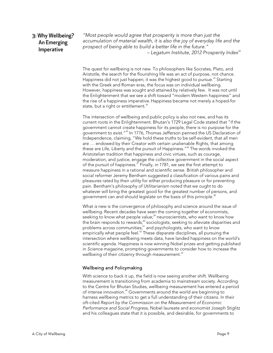## 3: Why Wellbeing? An Emerging Imperative

"Most people would agree that prosperity is more than just the accumulation of material wealth, it is also the joy of everyday life and the prospect of being able to build a better life in the future." – Legatum Institute, 2012 Prosperity Index $32$ 

The quest for wellbeing is not new. To philosophers like Socrates, Plato, and Aristotle, the search for the flourishing life was an act of purpose, not chance. Happiness did not just happen; it was the highest good to pursue.<sup>33</sup> Starting with the Greek and Roman eras, the focus was on individual wellbeing. However, happiness was sought and attained by relatively few. It was not until the Enlightenment that we see a shift toward "modern Western happiness" and the rise of a happiness imperative.Happiness became not merely a hoped-for state, but a right or entitlement.<sup>34</sup>

The intersection of wellbeing and public policy is also not new, and has its current roots in the Enlightenment. Bhutan's 1729 Legal Code stated that "if the government cannot create happiness for its people, there is no purpose for the government to exist."35 In 1776, Thomas Jefferson penned the US Declaration of Independence, claiming, "We hold these truths to be self-evident, that all men are … endowed by their Creator with certain unalienable Rights, that among these are Life, Liberty and the pursuit of Happiness."<sup>36</sup> The words invoked the Aristotelian tradition that happiness and civic virtues, such as courage, moderation, and justice, engage the collective government in the social aspect of the pursuit of happiness.<sup>37</sup> Finally, in 1781, we see the first attempt to measure happiness in a rational and scientific sense. British philosopher and social reformer Jeremy Bentham suggested a classification of various pains and pleasures rated by their utility for either producing pleasure or for preventing pain. Bentham's philosophy of Utilitarianism noted that we ought to do whatever will bring the greatest good for the greatest number of persons, and government can and should legislate on the basis of this principle.<sup>38</sup>

What is new is the convergence of philosophy and science around the issue of wellbeing. Recent decades have seen the coming together of economists, seeking to know what people value;<sup>39</sup> neuroscientists, who want to know how the brain responds to rewards;<sup>40</sup> sociologists, seeking to alleviate disparities and problems across communities; $^{41}$  and psychologists, who want to know empirically what people feel. $^{42}$  These disparate disciplines, all pursuing the intersection where wellbeing meets data, have landed happiness on the world's scientific agenda. Happiness is now winning Nobel prizes and getting published in Science magazine, prompting governments to consider how to increase the wellbeing of their citizenry through measurement.<sup>43</sup>

#### Wellbeing and Policymaking

With science to back it up, the field is now seeing another shift. Wellbeing measurement is transitioning from academia to mainstream society. According to the Centre for Bhutan Studies, wellbeing measurement has entered a period of intense innovation.<sup>44</sup> Governments around the world are beginning to harness wellbeing metrics to get a full understanding of their citizens. In their oft-cited Report by the Commission on the Measurement of Economic Performance and Social Progress, Nobel laureate and economist Joseph Stiglitz and his colleagues state that it is possible, and desirable, for governments to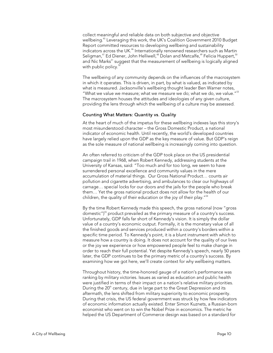collect meaningful and reliable data on both subjective and objective wellbeing.<sup>45</sup> Leveraging this work, the UK's Coalition Government 2010 Budget Report committed resources to developing wellbeing and sustainability indicators across the UK.<sup>46</sup> Internationally renowned researchers such as Martin Seligman,<sup>47</sup> Ed Diener, John Helliwell,<sup>48</sup> Dolan and Metcalfe,<sup>49</sup> Felicia Huppert,<sup>50</sup> and Nic Marks<sup>51</sup> suggest that the measurement of wellbeing is logically aligned with public policy.<sup>52</sup>

The wellbeing of any community depends on the influences of the macrosystem in which it operates. This is driven, in part, by what is valued, as indicated by what is measured. Jacksonville's wellbeing thought leader Ben Warner notes, "What we value we measure; what we measure we do; what we do, we value."53 The macrosystem houses the attitudes and ideologies of any given culture, providing the lens through which the wellbeing of a culture may be assessed.

#### Counting What Matters: Quantity vs. Quality

At the heart of much of the impetus for these wellbeing indexes lays this story's most misunderstood character – the Gross Domestic Product, a national indicator of economic health. Until recently, the world's developed countries have largely relied upon the GDP as the key measure of value. But GDP's reign as the sole measure of national wellbeing is increasingly coming into question.

An often referred to criticism of the GDP took place on the US presidential campaign trail in 1968, when Robert Kennedy, addressing students at the University of Kansas, said: "Too much and for too long, we seem to have surrendered personal excellence and community values in the mere accumulation of material things. Our Gross National Product… counts air pollution and cigarette advertising, and ambulances to clear our highways of carnage… special locks for our doors and the jails for the people who break them… Yet the gross national product does not allow for the health of our children, the quality of their education or the joy of their play."<sup>54</sup>

By the time Robert Kennedy made this speech, the gross national (now "gross domestic")<sup>55</sup> product prevailed as the primary measure of a country's success. Unfortunately, GDP falls far short of Kennedy's vision. It is simply the dollar value of a country's economic output. Formally, it is the monetary value of all the finished goods and services produced within a country's borders within a specific time period. To Kennedy's point, it is a blunt instrument with which to measure how a country is doing. It does not account for the quality of our lives or the joy we experience or how empowered people feel to make change in order to reach their full potential. Yet despite Kennedy's speech, nearly 50 years later, the GDP continues to be the primary metric of a country's success. By examining how we got here, we'll create context for why wellbeing matters.

Throughout history, the time-honored gauge of a nation's performance was ranking by military victories. Issues as varied as education and public health were justified in terms of their impact on a nation's relative military priorities. During the  $20<sup>th</sup>$  century, due in large part to the Great Depression and its aftermath, the lens shifted from military superiority to economic prosperity. During that crisis, the US federal government was struck by how few indicators of economic information actually existed. Enter Simon Kuznets, a Russian-born economist who went on to win the Nobel Prize in economics. The metric he helped the US Department of Commerce design was based on a standard for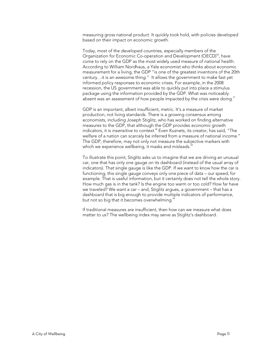measuring gross national product. It quickly took hold, with policies developed based on their impact on economic growth.

Today, most of the developed countries, especially members of the Organization for Economic Co-operation and Development (OECD)<sup>56</sup>, have come to rely on the GDP as the most widely used measure of national health. According to William Nordhaus, a Yale economist who thinks about economic measurement for a living, the GDP "is one of the greatest inventions of the 20th century…it is an awesome thing." It allows the government to make fast yet informed policy responses to economic crises. For example, in the 2008 recession, the US government was able to quickly put into place a stimulus package using the information provided by the GDP. What was noticeably absent was an assessment of how people impacted by the crisis were doing. $^{57}$ 

GDP is an important, albeit insufficient, metric. It's a measure of market production, not living standards. There is a growing consensus among economists, including Joseph Stiglitz, who has worked on finding alternative measures to the GDP, that although the GDP provides economic growth indicators, it is insensitive to context.<sup>58</sup> Even Kuznets, its creator, has said, "The welfare of a nation can scarcely be inferred from a measure of national income." The GDP, therefore, may not only not measure the subjective markers with which we experience wellbeing, it masks and misleads.<sup>5</sup>

To illustrate this point, Stiglitz asks us to imagine that we are driving an unusual car, one that has only one gauge on its dashboard (instead of the usual array of indicators). That single gauge is like the GDP. If we want to know how the car is functioning, this single gauge conveys only one piece of data – our speed, for example. That is useful information, but it certainly does not tell the whole story. How much gas is in the tank? Is the engine too warm or too cold? How far have we traveled? We want a car – and, Stiglitz argues, a government – that has a dashboard that is big enough to provide multiple indicators of performance, but not so big that it becomes overwhelming.<sup>61</sup>

If traditional measures are insufficient, then how can we measure what does matter to us? The wellbeing index may serve as Stiglitz's dashboard.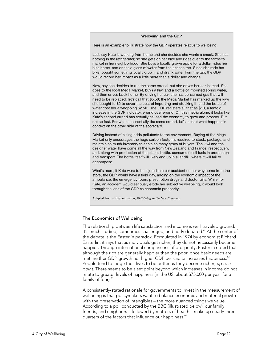#### **Wellbeing and the GDP**

Here is an example to illustrate how the GDP operates relative to wellbeing.

Let's say Kate is working from home and she decides she wants a snack. She has nothing in the refrigerator, so she gets on her bike and rides over to the farmer's market in her neighborhood. She buys a locally grown apple for a dollar, rides her bike home, and drinks a glass of water from the kitchen tap. Since she rode her bike, bought something locally grown, and drank water from the tap, the GDP would record her impact as a little more than a dollar and change.

Now, say she decides to run the same errand, but she drives her car instead. She goes to the local Mega Market, buys a kiwi and a bottle of imported spring water, and then drives back home. By driving her car, she has consumed gas that will need to be replaced: let's call that \$5.50; the Mega Market has marked up the kiwi she bought to \$2 to cover the cost of importing and stocking it; and the bottle of water cost her a whopping \$2.50. The GDP registers all that as \$10, a tenfold increase in the GDP indicator, errand over errand. On this metric alone, it looks like Kate's second errand has actually caused the economy to grow and prosper. But not so fast. For what is essentially the same errand, let's look at what happens in context on the other side of the scorecard.

Driving instead of biking adds pollutants to the environment. Buying at the Mega Market only encourages the huge carbon footprint required to stock, package, and maintain so much inventory to serve so many types of buyers. The kiwi and the designer water have come all the way from New Zealand and France, respectively, and, along with production of the plastic bottle, consume fossil fuels in production and transport. The bottle itself will likely end up in a landfill, where it will fail to decompose.

What's more, if Kate were to be injured in a car accident on her way home from the store, the GDP would have a field day, adding on the economic impact of the ambulance, the emergency room, prescription drugs and doctor bills. While, for Kate, an accident would seriously erode her subjective wellbeing, it would look through the lens of the GDP as economic prosperity.

Adapted from a PBS animation, Well-being In the New Economy.

#### The Economics of Wellbeing

The relationship between life satisfaction and income is well-traveled ground. It's much studied, sometimes challenged, and hotly debated.<sup>61</sup> At the center of the debate is the Easterlin paradox. Formulated in 1974 by economist Richard Easterlin, it says that as individuals get richer, they do not necessarily become happier. Through international comparisons of prosperity, Easterlin noted that although the rich are generally happier than the poor, once basic needs are met, neither GDP growth nor higher GDP per capita increases happiness. $62$ People tend to judge their lives to be better as they become richer, up to a point. There seems to be a set point beyond which increases in income do not relate to greater levels of happiness (in the US, about \$75,000 per year for a family of four).<sup>63</sup>

A consistently-stated rationale for governments to invest in the measurement of wellbeing is that policymakers want to balance economic and material growth with the preservation of intangibles – the more nuanced things we value. According to a poll conducted by the BBC (illustrated below), our family, friends, and neighbors – followed by matters of health – make up nearly threequarters of the factors that influence our happiness.<sup>64</sup>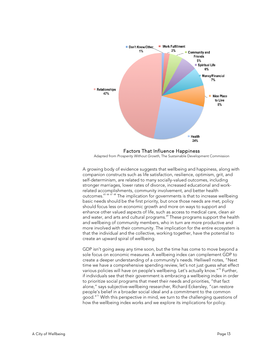

Factors That Influence Happiness Adapted from Prosperity Without Growth, The Sustainable Development Commission

A growing body of evidence suggests that wellbeing and happiness, along with companion constructs such as life satisfaction, resilience, optimism, grit, and self-determinism, are related to many socially-valued outcomes, including stronger marriages, lower rates of divorce, increased educational and workrelated accomplishments, community involvement, and better health outcomes.65 <sup>66</sup> <sup>67</sup> 68 The implication for governments is that to increase wellbeing basic needs should be the first priority, but once those needs are met, policy should focus less on economic growth and more on ways to support and enhance other valued aspects of life, such as access to medical care, clean air and water, and arts and cultural programs.<sup>69</sup> These programs support the health and wellbeing of community members, who in turn are more productive and more involved with their community. The implication for the entire ecosystem is that the individual and the collective, working together, have the potential to create an upward spiral of wellbeing.

GDP isn't going away any time soon, but the time has come to move beyond a sole focus on economic measures. A wellbeing index can complement GDP to create a deeper understanding of a community's needs. Helliwell notes, "Next time we have a comprehensive spending review, let's not just guess what effect various policies will have on people's wellbeing. Let's actually know."<sup>70</sup> Further, if individuals see that their government is embracing a wellbeing index in order to prioritize social programs that meet their needs and priorities, "that fact alone," says subjective-wellbeing researcher, Richard Eckersley, "can restore people's belief in a broader social ideal and a commitment to the common good."<sup>71</sup> With this perspective in mind, we turn to the challenging questions of how the wellbeing index works and we explore its implications for policy.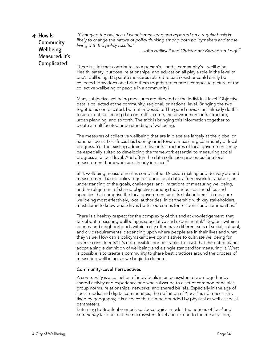## 4: How Is Community Wellbeing Measured: It's Complicated

"Changing the balance of what is measured and reported on a regular basis is likely to change the nature of policy thinking among both policymakers and those living with the policy results."

 $-$  John Helliwell and Christopher Barrington-Leigh<sup>72</sup>

There is a lot that contributes to a person's – and a community's – wellbeing. Health, safety, purpose, relationships, and education all play a role in the level of one's wellbeing. Disparate measures related to each exist or could easily be collected. How does one bring them together to create a composite picture of the collective wellbeing of people in a community?

Many subjective wellbeing measures are directed at the individual level. Objective data is collected at the community, regional, or national level. Bringing the two together is complicated, but not impossible. The good news: cities already do this to an extent, collecting data on traffic, crime, the environment, infrastructure, urban planning, and so forth. The trick is bringing this information together to create a multifaceted understanding of wellbeing.

The measures of collective wellbeing that are in place are largely at the global or national levels. Less focus has been geared toward measuring community or local progress. Yet the existing administrative infrastructures of local governments may be especially suited to developing the framework essential to measuring social progress at a local level. And often the data collection processes for a local measurement framework are already in place. $73$ 

Still, wellbeing measurement is complicated. Decision making and delivery around measurement-based policy requires good local data, a framework for analysis, an understanding of the goals, challenges, and limitations of measuring wellbeing, and the alignment of shared objectives among the various partnerships and agencies that comprise the local government and its stakeholders. To measure agencies that comprise the recal generalization of the with key stakeholders, must come to know what drives better outcomes for residents and communities.<sup>7</sup>

There is a healthy respect for the complexity of this and acknowledgement that talk about measuring wellbeing is speculative and experimental.<sup>75</sup> Regions within a country and neighborhoods within a city often have different sets of social, cultural, and civic requirements, depending upon where people are in their lives and what they value. How can a policymaker develop initiatives to cultivate wellbeing for diverse constituents? It's not possible, nor desirable, to insist that the entire planet adopt a single definition of wellbeing and a single standard for measuring it. What is possible is to create a community to share best practices around the process of measuring wellbeing, as we begin to do here.

#### Community-Level Perspectives

A community is a collection of individuals in an ecosystem drawn together by shared activity and experience and who subscribe to a set of common principles, group norms, relationships, networks, and shared beliefs. Especially in the age of social media and digital communities, the definition of "local" is not necessarily fixed by geography; it is a space that can be bounded by physical as well as social parameters.

Returning to Bronfenbrenner's socioecological model, the notions of local and community take hold at the microsystem level and extend to the mesosystem,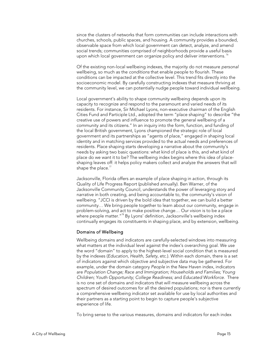since the clusters of networks that form communities can include interactions with churches, schools, public spaces, and housing. A community provides a bounded, observable space from which local government can detect, analyze, and amend social trends; communities comprised of neighborhoods provide a useful basis upon which local government can organize policy and deliver interventions.<sup>76</sup>

Of the existing non-local wellbeing indexes, the majority do not measure personal wellbeing, so much as the conditions that enable people to flourish. These conditions can be impacted at the collective level. This trend fits directly into the socioeconomic model. By carefully constructing indexes that measure thriving at the community level, we can potentially nudge people toward individual wellbeing.

Local government's ability to shape community wellbeing depends upon its capacity to recognize and respond to the paramount and varied needs of its residents. For instance, Sir Michael Lyons, non-executive chairman of the English Cities Fund and Participle Ltd., adopted the term "place shaping" to describe "the creative use of powers and influence to promote the general wellbeing of a community and its citizens." In an inquiry into the form, function, and funding of the local British government, Lyons championed the strategic role of local government and its partnerships as "agents of place," engaged in shaping local identity and in matching services provided to the actual needs and preferences of residents. Place shaping starts developing a narrative about the community's needs by asking two basic questions: what kind of place is this, and what kind of place do we want it to be? The wellbeing index begins where this idea of placeshaping leaves off: it helps policy makers collect and analyze the answers that will shape the place. $^{77}$ 

Jacksonville, Florida offers an example of place shaping in action, through its Quality of Life Progress Report (published annually). Ben Warner, of the Jacksonville Community Council, understands the power of leveraging story and narrative in both creating, and being accountable to, the community's vision of wellbeing. "JCCI is driven by the bold idea that together, we can build a better community… We bring people together to learn about our community, engage in problem-solving, and act to make positive change… Our vision is to be a place where people matter."78 By Lyons' definition, Jacksonville's wellbeing index continually engages its constituents in shaping place, and by extension, wellbeing.

#### Domains of Wellbeing

Wellbeing domains and indicators are carefully-selected windows into measuring what matters at the individual level against the index's overarching goal. We use the word "domain" to apply to the highest-level social condition that is measured by the indexes (Education, Health, Safety, etc.). Within each domain, there is a set of indicators against which objective and subjective data may be gathered. For example, under the domain category People in the New Haven index, indicators are Population Change; Race and Immigration; Households and Families; Young Children; Youth Opportunity; College Readiness; and Educated Workforce. There is no one set of domains and indicators that will measure wellbeing across the spectrum of desired outcomes for all the desired populations; nor is there currently a comprehensive wellbeing indicator set available for use by local authorities and their partners as a starting point to begin to capture people's subjective experience of life.

To bring sense to the various measures, domains and indicators for each index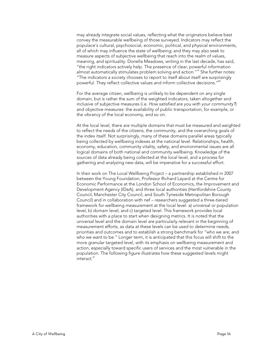may already integrate social values, reflecting what the originators believe best convey the measurable wellbeing of those surveyed. Indicators may reflect the populace's cultural, psychosocial, economic, political, and physical environments, all of which may influence the state of wellbeing; and they may also seek to measure aspects of subjective wellbeing that reach into the realm of values, meaning, and spirituality. Donella Meadows, writing in the last decade, has said, "the right indicators actively help. The presence of clear, powerful information almost automatically stimulates problem solving and action."<sup>79</sup> She further notes: "The indicators a society chooses to report to itself about itself are surprisingly powerful. They reflect collective values and inform collective decisions."<sup>80</sup>

For the average citizen, wellbeing is unlikely to be dependent on any single domain, but is rather the sum of the weighted indicators, taken altogether and inclusive of subjective measures (i.e. How satisfied are you with your community?) and objective measures: the availability of public transportation, for example, or the vibrancy of the local economy, and so on.

At the local level, there are multiple domains that must be measured and weighted to reflect the needs of the citizens, the community, and the overarching goals of the index itself. Not surprisingly, many of these domains parallel areas typically being collected by wellbeing indexes at the national level. Relationships, health, economy, education, community vitality, safety, and environmental issues are all logical domains of both national and community wellbeing. Knowledge of the sources of data already being collected at the local level, and a process for gathering and analyzing new data, will be imperative for a successful effort.

In their work on The Local Wellbeing Project – a partnership established in 2007 between the Young Foundation, Professor Richard Layard at the Centre for Economic Performance at the London School of Economics, the Improvement and Development Agency (IDeA), and three local authorities (Hertfordshire County Council, Manchester City Council, and South Tyneside Metropolitan Borough Council) and in collaboration with nef – researchers suggested a three-tiered framework for wellbeing measurement at the local level: a) universal or population level; b) domain level; and c) targeted level. This framework provides local authorities with a place to start when designing metrics. It is noted that the universal level and the domain level are particularly relevant in the beginning of measurement efforts, as data at these levels can be used to determine needs, priorities and outcomes and to establish a strong benchmark for "who we are; and who we want to be." Longer term, it is anticipated that this focus will shift to the more granular targeted level, with its emphasis on wellbeing measurement and action, especially toward specific users of services and the most vulnerable in the population. The following figure illustrates how these suggested levels might  $int$ eract  $81$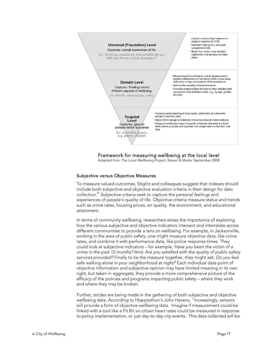

## Framework for measuring wellbeing at the local level

Adapted from The Local Wellbeing Project, Steuer & Marks, September 2008

#### Subjective versus Objective Measures

To measure valued outcomes, Stiglitz and colleagues suggest that indexes should include both subjective and objective evaluation criteria in their design for data collection.<sup>82</sup> Subjective criteria seek to capture the personal feelings and experiences of people's quality of life. Objective criteria measure status and trends such as crime rates, housing prices, air quality, the environment, and educational attainment.

In terms of community wellbeing, researchers stress the importance of exploring how the various subjective and objective indicators intersect and interrelate across different communities to provide a lens on wellbeing. For example, in Jacksonville, working in the area of public safety, one might measure objective data, like crime rates, and combine it with performance data, like police response times. They could look at subjective indicators – for example, Have you been the victim of a crime in the past 12 months? And: Are you satisfied with the quality of public safety services provided? Finally to tie the measure together, they might ask: Do you feel safe walking alone in your neighborhood at night? Each individual data point of objective information and subjective opinion may have limited meaning in its own right; but taken in aggregate, they provide a more comprehensive picture of the efficacy of the policies and programs impacting public safety – where they work and where they may be broken.

Further, strides are being made in the gathering of both subjective and objective wellbeing data. According to H(app)athon's John Havens, "Increasingly, sensors will provide a form of objective wellbeing data. Imagine if measurement could be linked with a tool like a Fit Bit so citizen heart rates could be measured in response to policy implementation, or just day-to-day city events. This data collected will be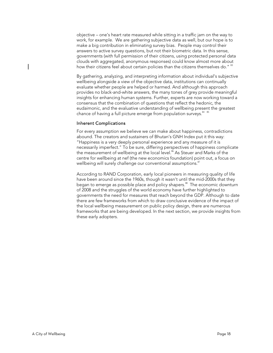objective – one's heart rate measured while sitting in a traffic jam on the way to work, for example. We are gathering subjective data as well, but our hope is to make a big contribution in eliminating survey bias. People may control their answers to active survey questions, but not their biometric data. In this sense, governments (with full permission of their citizens, using protected personal data clouds with aggregated, anonymous responses) could know almost more about how their citizens feel about certain policies than the citizens themselves do." 83

By gathering, analyzing, and interpreting information about individual's subjective wellbeing alongside a view of the objective data, institutions can continually evaluate whether people are helped or harmed. And although this approach provides no black-and-white answers, the many tones of grey provide meaningful insights for enhancing human systems. Further, experts are now working toward a consensus that the combination of questions that reflect the hedonic, the eudaimonic, and the evaluative understanding of wellbeing present the greatest chance of having a full picture emerge from population surveys. $^{\scriptsize{84-85}}$ 

#### Inherent Complications

For every assumption we believe we can make about happiness, contradictions abound. The creators and sustainers of Bhutan's GNH Index put it this way: "Happiness is a very deeply personal experience and any measure of it is necessarily imperfect." To be sure, differing perspectives of happiness complicate the measurement of wellbeing at the local level.<sup>86</sup> As Steuer and Marks of the centre for wellbeing at nef (the new economics foundation) point out, a focus on wellbeing will surely challenge our conventional assumptions.<sup>87</sup>

According to RAND Corporation, early local pioneers in measuring quality of life have been around since the 1960s, though it wasn't until the mid-2000s that they began to emerge as possible place and policy shapers.<sup>88</sup> The economic downturn of 2008 and the struggles of the world economy have further highlighted to governments the need for measures that reach beyond the GDP. Although to date there are few frameworks from which to draw conclusive evidence of the impact of the local wellbeing measurement on public policy design, there are numerous frameworks that are being developed. In the next section, we provide insights from these early adopters.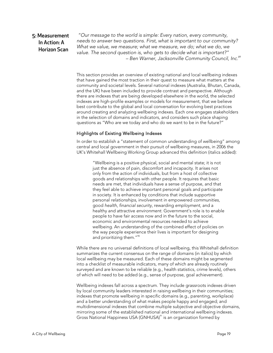## 5: Measurement In Action: A Horizon Scan

"Our message to the world is simple: Every nation, every community, needs to answer two questions. First, what is important to our community? What we value, we measure; what we measure, we do; what we do, we value. The second question is, who gets to decide what is important?"  $-$  Ben Warner, Jacksonville Community Council, Inc.<sup>89</sup>

This section provides an overview of existing national and local wellbeing indexes that have gained the most traction in their quest to measure what matters at the community and societal levels. Several national indexes (Australia, Bhutan, Canada, and the UK) have been included to provide contrast and perspective. Although there are indexes that are being developed elsewhere in the world, the selected indexes are high-profile examples or models for measurement, that we believe best contribute to the global and local conversation for evolving best practices around creating and analyzing wellbeing indexes. Each one engages stakeholders in the selection of domains and indicators, and considers such place shaping questions as "Who are we today and who do we want to be in the future?"

#### Highlights of Existing Wellbeing Indexes

In order to establish a "statement of common understanding of wellbeing" among central and local government in their pursuit of wellbeing measures, in 2006 the UK's Whitehall Wellbeing Working Group advanced this definition (italics added):

"Wellbeing is a positive physical, social and mental state; it is not just the absence of pain, discomfort and incapacity. It arises not only from the action of individuals, but from a host of collective goods and relationships with other people. It requires that basic needs are met, that individuals have a sense of purpose, and that they feel able to achieve important personal goals and participate in society. It is enhanced by conditions that include supportive personal relationships, involvement in empowered communities, good health, financial security, rewarding employment, and a healthy and attractive environment. Government's role is to enable people to have fair access now and in the future to the social, economic and environmental resources needed to achieve wellbeing. An understanding of the combined effect of policies on the way people experience their lives is important for designing and prioritizing them."<sup>90</sup>

While there are no universal definitions of local wellbeing, this Whitehall definition summarizes the current consensus on the range of domains (in italics) by which local wellbeing may be measured. Each of these domains might be segmented into a checklist of measurable indicators, many of which are already routinely surveyed and are known to be reliable (e.g., health statistics, crime levels), others of which will need to be added (e.g., sense of purpose, goal achievement).

Wellbeing indexes fall across a spectrum. They include grassroots indexes driven by local community leaders interested in raising wellbeing in their communities; indexes that promote wellbeing in specific domains (e.g., parenting, workplace) and a better understanding of what makes people happy and engaged; and multidimensional indexes that combine multiple subjective and objective domains, mirroring some of the established national and international wellbeing indexes. Gross National Happiness USA (GNHUSA)<sup>91</sup> is an organization formed by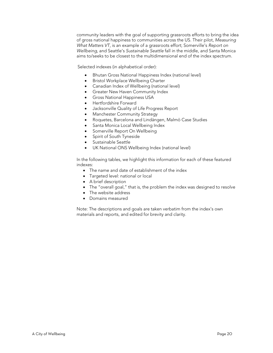community leaders with the goal of supporting grassroots efforts to bring the idea of gross national happiness to communities across the US. Their pilot, Measuring What Matters VT, is an example of a grassroots effort; Somerville's Report on Wellbeing, and Seattle's Sustainable Seattle fall in the middle, and Santa Monica aims to/seeks to be closest to the multidimensional end of the index spectrum.

Selected indexes (in alphabetical order):

- Bhutan Gross National Happiness Index (national level)
- **•** Bristol Workplace Wellbeing Charter
- Canadian Index of Wellbeing (national level)
- **•** Greater New Haven Community Index
- **Gross National Happiness USA**
- Hertfordshire Forward
- Jacksonville Quality of Life Progress Report
- Manchester Community Strategy
- Roquetes, Barcelona and Lindängen, Malmö Case Studies
- Santa Monica Local Wellbeing Index
- Somerville Report On Wellbeing
- Spirit of South Tyneside
- Sustainable Seattle
- UK National ONS Wellbeing Index (national level)

In the following tables, we highlight this information for each of these featured indexes:

- The name and date of establishment of the index
- Targeted level: national or local
- A brief description
- The "overall goal," that is, the problem the index was designed to resolve
- The website address
- Domains measured

Note: The descriptions and goals are taken verbatim from the index's own materials and reports, and edited for brevity and clarity.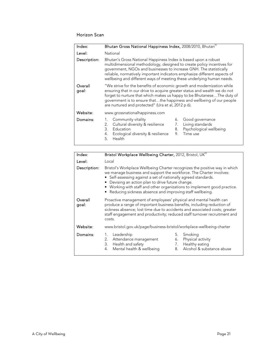## Horizon Scan

| Index:           | Bhutan Gross National Happiness Index, 2008/2010, Bhutan <sup>92</sup>                                                                                                                                                                                                                                                                                               |  |
|------------------|----------------------------------------------------------------------------------------------------------------------------------------------------------------------------------------------------------------------------------------------------------------------------------------------------------------------------------------------------------------------|--|
| Level:           | National                                                                                                                                                                                                                                                                                                                                                             |  |
| Description:     | Bhutan's Gross National Happiness Index is based upon a robust<br>multidimensional methodology, designed to create policy incentives for<br>government, NGOs and businesses to increase GNH. The statistically<br>reliable, normatively important indicators emphasize different aspects of<br>wellbeing and different ways of meeting these underlying human needs. |  |
| Overall<br>goal: | "We strive for the benefits of economic growth and modernization while<br>ensuring that in our drive to acquire greater status and wealth we do not<br>forget to nurture that which makes us happy to be Bhutanese The duty of<br>government is to ensure thatthe happiness and wellbeing of our people<br>are nurtured and protected" (Ura et al, 2012 p 6).        |  |
| Website:         | www.grossnationalhappiness.com                                                                                                                                                                                                                                                                                                                                       |  |
| Domains:         | Community vitality<br>Good governance<br>1.<br>6.<br>Cultural diversity & resilience<br>Living standards<br>2.<br>7.<br>Psychological wellbeing<br>3.<br>Education<br>8.<br>9.<br>4.<br>Ecological diversity & resilience<br>Time use<br>5.<br>Health                                                                                                                |  |

| Index:           | Bristol Workplace Wellbeing Charter, 2012, Bristol, UK <sup>93</sup>                                                                                                                                                                                                                                                                                                                                             |  |
|------------------|------------------------------------------------------------------------------------------------------------------------------------------------------------------------------------------------------------------------------------------------------------------------------------------------------------------------------------------------------------------------------------------------------------------|--|
| Level:           | Local                                                                                                                                                                                                                                                                                                                                                                                                            |  |
| Description:     | Bristol's Workplace Wellbeing Charter recognizes the positive way in which<br>we manage business and support the workforce. The Charter involves:<br>• Self-assessing against a set of nationally agreed standards.<br>• Devising an action plan to drive future change.<br>• Working with staff and other organizations to implement good practice.<br>Reducing sickness absence and improving staff wellbeing. |  |
| Overall<br>goal: | Proactive management of employees' physical and mental health can<br>produce a range of important business benefits, including reduction of<br>sickness absence; lost time due to accidents and associated costs; greater<br>staff engagement and productivity; reduced staff turnover recruitment and<br>costs.                                                                                                 |  |
| Website:         | www.bristol.gov.uk/page/business-bristol/workplace-wellbeing-charter                                                                                                                                                                                                                                                                                                                                             |  |
| Domains:         | Leadership<br>Smoking<br>5.<br>1.<br>Attendance management<br>Physical activity<br>2.<br>6.<br>Health and safety<br>3.<br>7. Healthy eating<br>Alcohol & substance abuse<br>Mental health & wellbeing<br>4.<br>8.                                                                                                                                                                                                |  |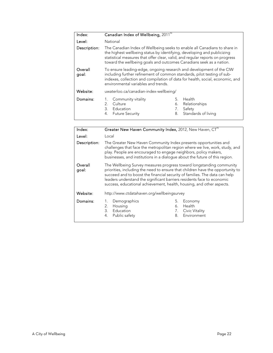| Index:           | Canadian Index of Wellbeing, 2011 <sup>94</sup>                                                                                                                                                                                                                                                              |                      |                                                          |
|------------------|--------------------------------------------------------------------------------------------------------------------------------------------------------------------------------------------------------------------------------------------------------------------------------------------------------------|----------------------|----------------------------------------------------------|
| Level:           | National                                                                                                                                                                                                                                                                                                     |                      |                                                          |
| Description:     | The Canadian Index of Wellbeing seeks to enable all Canadians to share in<br>the highest wellbeing status by identifying, developing and publicizing<br>statistical measures that offer clear, valid, and regular reports on progress<br>toward the wellbeing goals and outcomes Canadians seek as a nation. |                      |                                                          |
| Overall<br>goal: | To ensure leading-edge, ongoing research and development of the CIW<br>including further refinement of common standards, pilot testing of sub-<br>indexes, collection and compilation of data for health, social, economic, and<br>environmental variables and trends.                                       |                      |                                                          |
| Website:         | uwaterloo.ca/canadian-index-wellbeing/                                                                                                                                                                                                                                                                       |                      |                                                          |
| Domains:         | Community vitality<br>Culture<br>2.<br>3.<br>Education<br>4.<br><b>Future Security</b>                                                                                                                                                                                                                       | 5.<br>6.<br>7.<br>8. | Health<br>Relationships<br>Safety<br>Standards of living |

| Greater New Haven Community Index, 2012, New Haven, CT <sup>95</sup>                                                                                                                                                                                                                                                                                                                    |  |
|-----------------------------------------------------------------------------------------------------------------------------------------------------------------------------------------------------------------------------------------------------------------------------------------------------------------------------------------------------------------------------------------|--|
| Local                                                                                                                                                                                                                                                                                                                                                                                   |  |
| The Greater New Haven Community Index presents opportunities and<br>challenges that face the metropolitan region where we live, work, study, and<br>play. People are encouraged to engage neighbors, policy makers,<br>businesses, and institutions in a dialogue about the future of this region.                                                                                      |  |
| The Wellbeing Survey measures progress toward longstanding community<br>priorities, including the need to ensure that children have the opportunity to<br>succeed and to boost the financial security of families. The data can help<br>leaders understand the significant barriers residents face to economic<br>success, educational achievement, health, housing, and other aspects. |  |
| http://www.ctdatahaven.org/wellbeingsurvey                                                                                                                                                                                                                                                                                                                                              |  |
| Demographics<br>Economy<br>Health<br>Housing<br>2.<br>6.<br>3.<br>Education<br>Civic Vitality<br>7.<br>Environment<br>Public safety<br>4.<br>8.                                                                                                                                                                                                                                         |  |
|                                                                                                                                                                                                                                                                                                                                                                                         |  |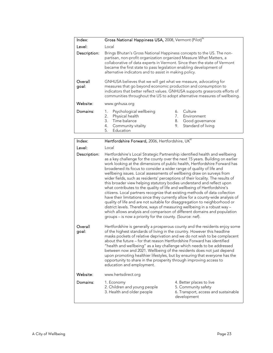| Index:                           | Gross National Happiness USA, 2008, Vermont (Pilot) <sup>%</sup>                                                                                                                                                                                                                                                                                                                                                                                                                                                                                                                                                                                             |  |
|----------------------------------|--------------------------------------------------------------------------------------------------------------------------------------------------------------------------------------------------------------------------------------------------------------------------------------------------------------------------------------------------------------------------------------------------------------------------------------------------------------------------------------------------------------------------------------------------------------------------------------------------------------------------------------------------------------|--|
| Level:                           | Local                                                                                                                                                                                                                                                                                                                                                                                                                                                                                                                                                                                                                                                        |  |
| Description:<br>Overall<br>goal: | Brings Bhutan's Gross National Happiness concepts to the US. The non-<br>partisan, non-profit organization organized Measure What Matters, a<br>collaborative of data experts in Vermont. Since then the state of Vermont<br>became the first state to pass legislation enabling development of<br>alternative indicators and to assist in making policy.<br>GNHUSA believes that we will get what we measure, advocating for<br>measures that go beyond economic production and consumption to<br>indicators that better reflect values. GNHUSA supports grassroots efforts of<br>communities throughout the US to adopt alternative measures of wellbeing. |  |
| Website:                         | www.gnhusa.org                                                                                                                                                                                                                                                                                                                                                                                                                                                                                                                                                                                                                                               |  |
| Domains:                         | Psychological wellbeing<br>Culture<br>6.<br>Physical health<br>2.<br>Environment<br>Time balance<br>3.<br>Good governance<br>8.<br>Standard of living<br>Community vitality<br>9.<br>4.<br>Education<br>5.                                                                                                                                                                                                                                                                                                                                                                                                                                                   |  |

| Index:           | Hertfordshire Forward, 2006, Hertfordshire, UK <sup>97</sup>                                                                                                                                                                                                                                                                                                                                                                                                                                                                                                                                                                                                                                                                                                                                                                                                                                                                                                                                                                                                                                              |                                                                                                        |
|------------------|-----------------------------------------------------------------------------------------------------------------------------------------------------------------------------------------------------------------------------------------------------------------------------------------------------------------------------------------------------------------------------------------------------------------------------------------------------------------------------------------------------------------------------------------------------------------------------------------------------------------------------------------------------------------------------------------------------------------------------------------------------------------------------------------------------------------------------------------------------------------------------------------------------------------------------------------------------------------------------------------------------------------------------------------------------------------------------------------------------------|--------------------------------------------------------------------------------------------------------|
| Level:           | Local                                                                                                                                                                                                                                                                                                                                                                                                                                                                                                                                                                                                                                                                                                                                                                                                                                                                                                                                                                                                                                                                                                     |                                                                                                        |
| Description:     | Hertfordshire's Local Strategic Partnership identified health and wellbeing<br>as a key challenge for the county over the next 15 years. Building on earlier<br>work looking at the dimensions of public health, Hertfordshire Forward has<br>broadened its focus to consider a wider range of quality of life and<br>wellbeing issues. Local assessments of wellbeing draw on surveys from<br>wider fields, such as residents' perceptions of their locality. The results of<br>this broader view helping statutory bodies understand and reflect upon<br>what contributes to the quality of life and wellbeing of Hertfordshire's<br>citizens. Local partners recognize that existing methods of data collection<br>have their limitations since they currently allow for a county-wide analysis of<br>quality of life and are not suitable for disaggregation to neighborhood or<br>district levels. Therefore, ways of measuring wellbeing in a robust way -<br>which allows analysis and comparison of different domains and population<br>groups – is now a priority for the county. (Source: nef). |                                                                                                        |
| Overall<br>goal: | Hertfordshire is generally a prosperous county and the residents enjoy some<br>of the highest standards of living in the country. However this headline<br>masks pockets of relative deprivation and we do not wish to be complacent<br>about the future – for that reason Hertfordshire Forward has identified<br>"health and wellbeing" as a key challenge which needs to be addressed<br>between now and 2021. Wellbeing of the residents does not just depend<br>upon promoting healthier lifestyles, but by ensuring that everyone has the<br>opportunity to share in the prosperity through improving access to<br>education and employment.                                                                                                                                                                                                                                                                                                                                                                                                                                                        |                                                                                                        |
| Website:         | www.hertsdirect.org                                                                                                                                                                                                                                                                                                                                                                                                                                                                                                                                                                                                                                                                                                                                                                                                                                                                                                                                                                                                                                                                                       |                                                                                                        |
| Domains:         | 1. Economy<br>2. Children and young people<br>3. Health and older people                                                                                                                                                                                                                                                                                                                                                                                                                                                                                                                                                                                                                                                                                                                                                                                                                                                                                                                                                                                                                                  | 4. Better places to live<br>5. Community safety<br>6. Transport, access and sustainable<br>development |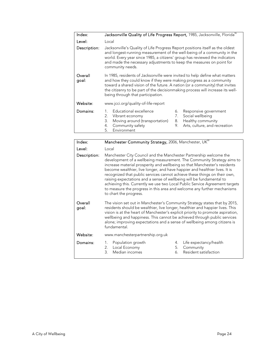| Index:           | Jacksonville Quality of Life Progress Report, 1985, Jacksonville, Florida <sup>38</sup>                                                                                                                                                                                                                                                                   |  |
|------------------|-----------------------------------------------------------------------------------------------------------------------------------------------------------------------------------------------------------------------------------------------------------------------------------------------------------------------------------------------------------|--|
| Level:           | Local                                                                                                                                                                                                                                                                                                                                                     |  |
| Description:     | Jacksonville's Quality of Life Progress Report positions itself as the oldest<br>and longest-running measurement of the well-being of a community in the<br>world. Every year since 1985, a citizens' group has reviewed the indicators<br>and made the necessary adjustments to keep the measures on point for<br>community needs.                       |  |
| Overall<br>goal: | In 1985, residents of Jacksonville were invited to help define what matters<br>and how they could know if they were making progress as a community<br>toward a shared vision of the future. A nation (or a community) that invites<br>the citizenry to be part of the decisionmaking process will increase its well-<br>being through that participation. |  |
| Website:         | www.jcci.org/quality-of-life-report                                                                                                                                                                                                                                                                                                                       |  |
| Domains:         | Educational excellence<br>Responsive government<br>6.<br>Social wellbeing<br>2.<br>7.<br>Vibrant economy<br>Moving around (transportation)<br>Healthy community<br>3.<br>8.<br>Community safety<br>Arts, culture, and recreation<br>4.<br>9.<br>Environment<br>5.                                                                                         |  |

| Index:           | Manchester Community Strategy, 2006, Manchester, UK <sup>99</sup>                                                                                                                                                                                                                                                                                                                                                                                                                                                                                                                                                                                |  |
|------------------|--------------------------------------------------------------------------------------------------------------------------------------------------------------------------------------------------------------------------------------------------------------------------------------------------------------------------------------------------------------------------------------------------------------------------------------------------------------------------------------------------------------------------------------------------------------------------------------------------------------------------------------------------|--|
| Level:           | Local                                                                                                                                                                                                                                                                                                                                                                                                                                                                                                                                                                                                                                            |  |
| Description:     | Manchester City Council and the Manchester Partnership welcome the<br>development of a wellbeing measurement. The Community Strategy aims to<br>increase material prosperity and wellbeing so that Manchester's residents<br>become wealthier, live longer, and have happier and healthier lives. It is<br>recognized that public services cannot achieve these things on their own,<br>raising expectations and a sense of wellbeing will be fundamental to<br>achieving this. Currently we use two Local Public Service Agreement targets<br>to measure the progress in this area and welcome any further mechanisms<br>to chart the progress. |  |
| Overall<br>goal: | The vision set out in Manchester's Community Strategy states that by 2015,<br>residents should be wealthier, live longer, healthier and happier lives. This<br>vision is at the heart of Manchester's explicit priority to promote aspiration,<br>wellbeing and happiness. This cannot be achieved through public services<br>alone; improving expectations and a sense of wellbeing among citizens is<br>fundamental.                                                                                                                                                                                                                           |  |
| Website:         | www.manchesterpartnership.org.uk                                                                                                                                                                                                                                                                                                                                                                                                                                                                                                                                                                                                                 |  |
| Domains:         | Population growth<br>Life expectancy/health<br>1.<br>4.<br>2.<br>Local Economy<br>5.<br>Community<br>Median incomes<br>Resident satisfaction<br>3.<br>6.                                                                                                                                                                                                                                                                                                                                                                                                                                                                                         |  |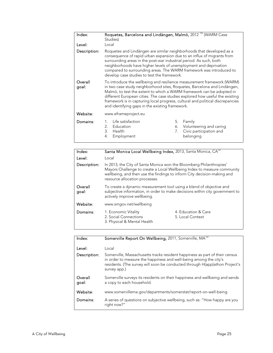| Index:<br>Level: | Roquetes, Barcelona and Lindängen, Malmö, 2012 <sup>100</sup> (WARM Case<br>Studies)<br>Local                                                                                                                                                                                                                                                                                                                                                    |  |
|------------------|--------------------------------------------------------------------------------------------------------------------------------------------------------------------------------------------------------------------------------------------------------------------------------------------------------------------------------------------------------------------------------------------------------------------------------------------------|--|
| Description:     | Roquetes and Lindängen are similar neighborhoods that developed as a<br>consequence of rapid urban expansion due to an influx of migrants from<br>surrounding areas in the post-war industrial period. As such, both<br>neighborhoods have higher levels of unemployment and deprivation<br>compared to surrounding areas. The WARM framework was introduced to<br>develop case studies to test the framework.                                   |  |
| Overall<br>goal: | To introduce the wellbeing and resilience measurement framework (WARM)<br>in two case study neighborhood sites, Roquetes, Barcelona and Lindängen,<br>Malmö, to test the extent to which a WARM framework can be adopted in<br>different European cities. The case studies explored how useful the existing<br>framework is in capturing local progress, cultural and political discrepancies<br>and identifying gaps in the existing framework. |  |
| Website:         | www.eframeproject.eu                                                                                                                                                                                                                                                                                                                                                                                                                             |  |
| Domains:         | Life satisfaction<br>5.<br>Family<br>2.<br>Education<br>Volunteering and caring<br>6.<br>3.<br>Civic participation and<br>Health<br>7.<br>4.<br>Employment<br>belonging                                                                                                                                                                                                                                                                          |  |

| Index:           | Santa Monica Local Wellbeing Index, 2013, Santa Monica, CA <sup>101</sup>                                                                                                                                                                                   |                                         |
|------------------|-------------------------------------------------------------------------------------------------------------------------------------------------------------------------------------------------------------------------------------------------------------|-----------------------------------------|
| Level:           | Local                                                                                                                                                                                                                                                       |                                         |
| Description:     | In 2013, the City of Santa Monica won the Bloomberg Philanthropies'<br>Mayors Challenge to create a Local Wellbeing Index to measure community<br>wellbeing, and then use the findings to inform City decision-making and<br>resource allocation processes. |                                         |
| Overall<br>goal: | To create a dynamic measurement tool using a blend of objective and<br>subjective information, in order to make decisions within city government to<br>actively improve wellbeing.                                                                          |                                         |
| Website:         | www.smgov.net/wellbeing                                                                                                                                                                                                                                     |                                         |
| Domains:         | 1. Economic Vitality<br>2. Social Connections<br>3. Physical & Mental Health                                                                                                                                                                                | 4. Education & Care<br>5. Local Context |
|                  |                                                                                                                                                                                                                                                             |                                         |

| Index:           | Somerville Report On Wellbeing, 2011, Somerville, MA <sup>102</sup>                                                                                                                                                                             |  |
|------------------|-------------------------------------------------------------------------------------------------------------------------------------------------------------------------------------------------------------------------------------------------|--|
| Level:           | Local                                                                                                                                                                                                                                           |  |
| Description:     | Somerville, Massachusetts tracks resident happiness as part of their census<br>in order to measure the happiness and well-being among the city's<br>residents. (The survey will soon be conducted through H(app)athon Project's<br>survey app.) |  |
| Overall<br>goal: | Somerville surveys its residents on their happiness and wellbeing and sends<br>a copy to each household.                                                                                                                                        |  |
| Website:         | www.somervillema.gov/departments/somerstat/report-on-well-being                                                                                                                                                                                 |  |
| Domains:         | A series of questions on subjective wellbeing, such as: "How happy are you<br>right now?"                                                                                                                                                       |  |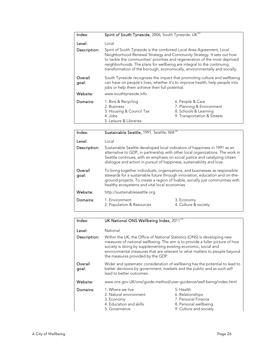| Index:           | Spirit of South Tyneside, 2006, South Tyneside, UK <sup>103</sup>                                                                                                                                                                                                                                                                                                                   |                                                                                                       |
|------------------|-------------------------------------------------------------------------------------------------------------------------------------------------------------------------------------------------------------------------------------------------------------------------------------------------------------------------------------------------------------------------------------|-------------------------------------------------------------------------------------------------------|
| Level:           | Local                                                                                                                                                                                                                                                                                                                                                                               |                                                                                                       |
| Description:     | Spirit of South Tyneside is the combined Local Area Agreement, Local<br>Neighborhood Renewal Strategy and Community Strategy. It sets out how<br>to tackle the communities' priorities and regeneration of the most deprived<br>neighborhoods. The plans for wellbeing are integral to the continuing<br>transformation of the borough, economically, environmentally and socially. |                                                                                                       |
| Overall<br>goal: | South Tyneside recognizes the impact that promoting culture and wellbeing<br>can have on people's lives, whether it's to improve health, help people into<br>jobs or help them achieve their full potential.                                                                                                                                                                        |                                                                                                       |
| Website:         | www.southtyneside.info                                                                                                                                                                                                                                                                                                                                                              |                                                                                                       |
| Domains:         | 1. Bins & Recycling<br>2. Business<br>3. Housing & Council Tax<br>4. Jobs<br>5. Leisure & Libraries                                                                                                                                                                                                                                                                                 | 6. People & Care<br>7. Planning & Environment<br>8. Schools & Learning<br>9. Transportation & Streets |
| Index:           | Sustainable Seattle, 1991, Seattle, WA <sup>104</sup>                                                                                                                                                                                                                                                                                                                               |                                                                                                       |

| Level:           | Local                                                                                                                                                                                                                                                                                                                                                                                                                                                                                                                                                                                                                                                  |                                    |
|------------------|--------------------------------------------------------------------------------------------------------------------------------------------------------------------------------------------------------------------------------------------------------------------------------------------------------------------------------------------------------------------------------------------------------------------------------------------------------------------------------------------------------------------------------------------------------------------------------------------------------------------------------------------------------|------------------------------------|
| Description:     | Sustainable Seattle developed local indicators of happiness in 1991 as an<br>alternative to GDP, in partnership with other local organizations. The work in<br>Seattle continues, with an emphasis on social justice and catalyzing citizen<br>dialogue and action in pursuit of happiness, sustainability and love.<br>To bring together individuals, organizations, and businesses as responsible<br>stewards for a sustainable future through innovation, education and on-the-<br>ground projects. To create a region of livable, socially just communities with<br>healthy ecosystems and vital local economies.<br>http://sustainableseattle.org |                                    |
| Overall<br>goal: |                                                                                                                                                                                                                                                                                                                                                                                                                                                                                                                                                                                                                                                        |                                    |
| Website:         |                                                                                                                                                                                                                                                                                                                                                                                                                                                                                                                                                                                                                                                        |                                    |
| Domains:         | 1. Environment<br>2. Population & Resources                                                                                                                                                                                                                                                                                                                                                                                                                                                                                                                                                                                                            | 3. Economy<br>4. Culture & society |

| Index:           | UK National ONS Wellbeing Index, 2011 <sup>105</sup>                                                                                                                                                                                                                                                                                           |                                                                                                         |
|------------------|------------------------------------------------------------------------------------------------------------------------------------------------------------------------------------------------------------------------------------------------------------------------------------------------------------------------------------------------|---------------------------------------------------------------------------------------------------------|
| Level:           | National                                                                                                                                                                                                                                                                                                                                       |                                                                                                         |
| Description:     | Within the UK, the Office of National Statistics (ONS) is developing new<br>measures of national wellbeing. The aim is to provide a fuller picture of how<br>society is doing by supplementing existing economic, social and<br>environmental measures that are relevant to what matters to people beyond<br>the measures provided by the GDP. |                                                                                                         |
| Overall<br>goal: | Wider and systematic consideration of wellbeing has the potential to lead to<br>better decisions by government, markets and the public and as such will<br>lead to better outcomes.                                                                                                                                                            |                                                                                                         |
| Website:         | www.ons.gov.UK/ons/guide-method/user-guidance/well-being/index.html                                                                                                                                                                                                                                                                            |                                                                                                         |
| Domains:         | 1. Where we live<br>2. Natural environment<br>3. Economy<br>4. Education and skills<br>5. Governance                                                                                                                                                                                                                                           | 5. Health<br>6. Relationships<br>7. Personal Finance<br>8. Personal wellbeing<br>9. Culture and society |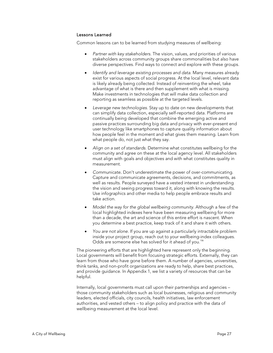#### Lessons Learned

Common lessons can to be learned from studying measures of wellbeing:

- Partner with key stakeholders. The vision, values, and priorities of various stakeholders across community groups share commonalities but also have diverse perspectives. Find ways to connect and explore with these groups.
- Identify and leverage existing processes and data. Many measures already exist for various aspects of social progress. At the local level, relevant data is likely already being collected. Instead of reinventing the wheel, take advantage of what is there and then supplement with what is missing. Make investments in technologies that will make data collection and reporting as seamless as possible at the targeted levels.
- Leverage new technologies. Stay up to date on new developments that can simplify data collection, especially self-reported data. Platforms are continually being developed that combine the emerging active and passive practices surrounding big data and privacy with ever-present end user technology like smartphones to capture quality information about how people feel in the moment and what gives them meaning. Learn from what people do, not just what they say.
- Align on a set of standards. Determine what constitutes wellbeing for the community and agree on these at the local agency level. All stakeholders must align with goals and objectives and with what constitutes quality in measurement.
- Communicate. Don't underestimate the power of over-communicating. Capture and communicate agreements, decisions, and commitments, as well as results. People surveyed have a vested interest in understanding the vision and seeing progress toward it, along with knowing the results. Use infographics and other media to help people embrace results and take action.
- Model the way for the global wellbeing community. Although a few of the local highlighted indexes here have been measuring wellbeing for more than a decade, the art and science of this entire effort is nascent. When you determine a best practice, keep track of it and share it with others.
- You are not alone. If you are up against a particularly intractable problem inside your project group, reach out to your wellbeing-index colleagues. Odds are someone else has solved for it ahead of you.<sup>10</sup>

The pioneering efforts that are highlighted here represent only the beginning. Local governments will benefit from focusing strategic efforts. Externally, they can learn from those who have gone before them. A number of agencies, universities, think tanks, and non-profit organizations are ready to help, share best practices, and provide guidance. In Appendix 1, we list a variety of resources that can be helpful.

Internally, local governments must call upon their partnerships and agencies – those community stakeholders such as local businesses, religious and community leaders, elected officials, city councils, health initiatives, law enforcement authorities, and vested others – to align policy and practice with the data of wellbeing measurement at the local level.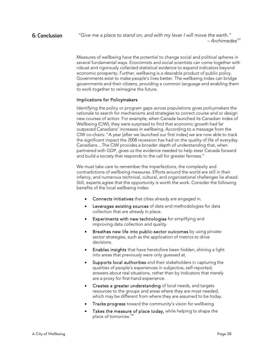Measures of wellbeing have the potential to change social and political spheres in several fundamental ways. Economists and social scientists can come together with robust and rigorously collected statistical evidence to expand indicators beyond economic prosperity. Further, wellbeing is a desirable product of public policy. Governments exist to make people's lives better. The wellbeing index can bridge governments and their citizens, providing a common language and enabling them to work together to reimagine the future.

#### Implications for Policymakers

Identifying the policy or program gaps across populations gives policymakers the rationale to search for mechanisms and strategies to correct course and or design new courses of action. For example, when Canada launched its Canadian Index of Wellbeing (CIW), they were surprised to find that economic growth had far outpaced Canadians' increases in wellbeing. According to a message from the CIW co-chairs: "A year [after we launched our first index] we are now able to track the significant impact the 2008 recession has had on the quality of life of everyday Canadians…The CIW provides a broader depth of understanding that, when partnered with GDP, gives us the evidence needed to help steer Canada forward and build a society that responds to the call for greater fairness."

We must take care to remember the imperfections, the complexity and contradictions of wellbeing measures. Efforts around the world are still in their infancy, and numerous technical, cultural, and organizational challenges lie ahead. Still, experts agree that the opportunity is worth the work. Consider the following benefits of the local wellbeing index:

- Connects initiatives that cities already are engaged in.
- **•** Leverages existing sources of data and methodologies for data collection that are already in place.
- Experiments with new technologies for simplifying and improving data collection and quality.
- **Breathes new life into public-sector outcomes** by using privatesector strategies, such as the application of metrics to drive decisions.
- Enables insights that have heretofore been hidden, shining a light into areas that previously were only guessed at.
- Supports local authorities and their stakeholders in capturing the qualities of people's experiences in subjective, self-reported, answers about real situations, rather than by indicators that merely are a proxy for first-hand experience.
- Creates a greater understanding of local needs, and targets resources to the groups and areas where they are most needed, which may be different from where they are assumed to be today.
- Tracks progress toward the community's vision for wellbeing.
- Takes the measure of place today, while helping to shape the place of tomorrow.<sup>108</sup>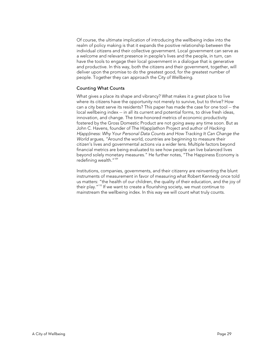Of course, the ultimate implication of introducing the wellbeing index into the realm of policy making is that it expands the positive relationship between the individual citizens and their collective government. Local government can serve as a welcome and relevant presence in people's lives and the people, in turn, can have the tools to engage their local government in a dialogue that is generative and productive. In this way, both the citizens and their government, together, will deliver upon the promise to do the greatest good, for the greatest number of people. Together they can approach the City of Wellbeing.

#### Counting What Counts

What gives a place its shape and vibrancy? What makes it a great place to live where its citizens have the opportunity not merely to survive, but to thrive? How can a city best serve its residents? This paper has made the case for one tool -- the local wellbeing index -- in all its current and potential forms, to drive fresh ideas, innovation, and change. The time-honored metrics of economic productivity fostered by the Gross Domestic Product are not going away any time soon. But as John C. Havens, founder of The H(app)athon Project and author of Hacking H(app)iness: Why Your Personal Data Counts and How Tracking It Can Change the World argues, "Around the world, countries are beginning to measure their citizen's lives and governmental actions via a wider lens. Multiple factors beyond financial metrics are being evaluated to see how people can live balanced lives beyond solely monetary measures." He further notes, "The Happiness Economy is redefining wealth."<sup>109</sup>

Institutions, companies, governments, and their citizenry are reinventing the blunt instruments of measurement in favor of measuring what Robert Kennedy once told us matters: "the health of our children, the quality of their education, and the joy of their play.<sup>"110</sup> If we want to create a flourishing society, we must continue to mainstream the wellbeing index. In this way we will count what truly counts.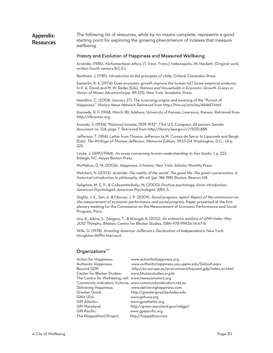#### Appendix: Resources The following list of resources, while by no means complete, represents a good starting point for exploring the growing phenomenon of indexes that measure wellbeing.

#### History and Evolution of Happiness and Measured Wellbeing

Aristotle. (1985). Nichomachean ethics. (T. Irwin, Trans.). Indianapolis, IN: Hackett. (Original work written fourth century B.C.E.).

Bentham, J. (1781). Introduction to the principles of utility. Oxford: Clarendon Press.

Easterlin, R. A. (1974). Does economic growth improve the human lot? Some empirical evidence. In P. A. David and M. W. Reder (Eds), Nations and Households in Economic Growth: Essays in Honor of Moses Abramovitz (pp. 89-125). New York: Academic Press.

Hamilton, C. (2008, January 27). The surprising origins and meaning of the "Pursuit of Happiness," History News Network. Retrieved from http://hnn.us/articles/46460.html

Kennedy, R. F. (1968, March 18). Address, University of Kansas, Lawrence, Kansas. Retrieved from http://rfkcenter.org.

Kuznets, S. (1934). "National Income, 1929-1932". 73rd U.S. Congress, 2d session, Senate document no. 124, page 7. Retrieved from http://library.bea.gov/u?/SOD,888

Jefferson, T. (1814). Letter from Thomas Jefferson to M. Correa de Serra. In Lipscomb and Bergh (Eds). The Writings of Thomas Jefferson, Memorial Edition, 1903-04. Washington, D.C., 14, p. 222.

Locke, J. (1690/1964). An essay concerning human understanding: In four books, 1, p. 223. Raleigh, NC: Hayes Barton Press.

McMahon, D. M. (2006). Happiness: A history. New York: Atlantic Monthly Press.

Melchert, N. (2002). Aristotle: The reality of the world. The good life. The great conversation: A historical introduction to philosophy, 4th ed. (pp. 186-198). Boston: Beacon Hill.

Seligman, M. E. P., & Csikszentmihalyi, M. (2000). Positive psychology: Anan introduction. American Psychologist; American Psychologist, 55(1), 5.

Stiglitz, J. E., Sen, A. & Fitoussi, J. P. (2009). Social progress report: Report of the commission on the measurement of economic performance and social progress. Paper presented at the first plenary meeting for the Commission on the Measurement of Economic Performance and Social Progress, Paris.

Ura, K., Alkire, S., Zangmo, T., & Wangdi, K. (2012). An extensive analysis of GNH Index, May <sup>2012</sup>. Thimphu, Bhatan: Centre for Bhutan Studies. ISBN 978-99936-14-67-8.

Wills, G. (1978). Inventing America: Jefferson's Declaration of Independence. New York: Houghton Mifflin Harcourt.

#### Organizations<sup>111</sup>

| Action for Happiness:                                | www.actionforhappiness.org                                    |
|------------------------------------------------------|---------------------------------------------------------------|
| Authentic Happiness:                                 | www.authentichappiness.sas.upenn.edu/Default.aspx             |
| Beyond GDP:                                          | http://ec.europa.eu/environment/beyond_gdp/index_en.html      |
| Center for Bhutan Studies:                           | www.bhutanstudies.org.bt                                      |
| The Centre for Well-being, nef: www.neweconomics.org |                                                               |
|                                                      | Community Indicators Victoria: www.communityindicators.net.au |
| Delivering Happiness:                                | www.deliveringhappiness.com                                   |
| Greater Good:                                        | http://greatergood.berkeley.edu                               |
| GNH USA:                                             | www.gnhusa.org                                                |
| GPI Atlantic:                                        | www.gpiatlantic.org                                           |
| GPI Maryland:                                        | http://green.maryland.gov/mdgpi/                              |
| <b>GPI Pacific:</b>                                  | www.gpipacific.org                                            |
| The H(appathon) Project:                             | http://happathon.com                                          |
|                                                      |                                                               |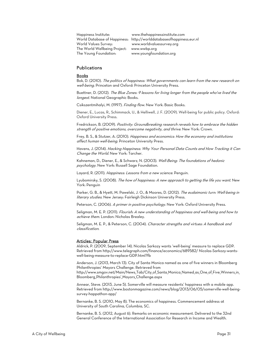Happiness Institute: www.thehappinessinstitute.com World Values Survey: www.worldvaluessurvey.org The World Wellbeing Project: www.wwbp.org The Young Foundation: www.youngfoundation.org

World Database of Happiness: http://worlddatabaseofhappiness.eur.nl

#### **Publications**

#### Books

Bok, D. (2010). The politics of happiness: What governments can learn from the new research on well-being. Princeton and Oxford: Princeton University Press.

Buettner, D. (2012). The Blue Zones: 9 lessons for living longer from the people who've lived the longest. National Geographic Books.

Csikszentmihalyi, M. (1997). Finding flow. New York: Basic Books.

Diener, E., Lucas, R., Schimmack, U., & Helliwell, J. F. (2009). Well-being for public policy. Oxford: Oxford University Press.

Fredrickson, B. (2009). Positivity: Groundbreaking research reveals how to embrace the hidden strength of positive emotions, overcome negativity, and thrive. New York: Crown.

Frey, B. S., & Stutzer, A. (2010). Happiness and economics: How the economy and institutions affect human well-being. Princeton University Press.

Havens, J. (2014). Hacking Happiness: Why Your Personal Data Counts and How Tracking it Can Change the World. New York: Tarcher.

Kahneman, D., Diener, E., & Schwarz, N. (2003). Well-Being: The foundations of hedonic psychology. New York: Russell Sage Foundation.

Layard, R. (2011). Happiness: Lessons from a new science. Penguin.

Lyubomirsky, S. (2008). The how of happiness: A new approach to getting the life you want. New York: Penguin

Parker, G. B., & Hyett, M. Pawelski, J. O., & Moores, D. (2012). The eudaimonic turn: Well-being in literary studies. New Jersey: Fairleigh Dickinson University Press.

Peterson, C. (2006). A primer in positive psychology. New York: Oxford University Press.

Seligman, M. E. P. (2011). Flourish: A new understanding of happiness and well-being and how to achieve them. London: Nicholas Brealey.

Seligman, M. E. P., & Peterson, C. (2004). Character strengths and virtues: A handbook and classification.

#### Articles: Popular Press

Aldrick, P. (2009, September 14). Nicolas Sarkozy wants 'well-being' measure to replace GDP. Retrieved from http://www.telegraph.com/finance/economics/689582/ Nicolas-Sarkozy-wantswell-being-measure-to-replace-GDP.html?fb

Anderson, J. (2013, March 13). City of Santa Monica named as one of five winners in Bloomberg Philanthropies' Mayors Challenge. Retrieved from http://www.smgov.net/Main/News\_Tab/City\_of\_Santa\_Monica\_Named\_as\_One\_of\_Five\_Winners\_in\_ Bloomberg\_Philanthropies'\_Mayors\_Challenge.aspx

Annear, Steve. (2013, June 5). Somerville will measure residents' happiness with a mobile app. Retrieved from http://www.bostonmagazine.com/news/blog/2013/06/05/somerville-well-beingsurvey-happathon-app/

Bernanke, B. S. (2010, May 8). The economics of happiness. Commencement address at University of South Carolina, Columbia, SC.

Bernanke, B. S. (2012, August 6). Remarks on economic measurement. Delivered to the 32nd General Conference of the International Association for Research in Income and Wealth.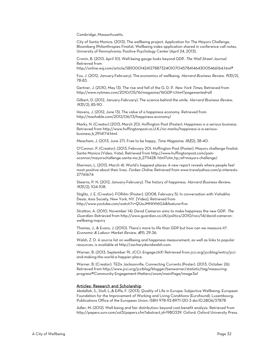Cambridge, Massachusetts.

City of Santa Monica. (2013). The wellbeing project. Application for The Mayors Challenge, Bloomberg Philanthropies Finalist. Wellbeing index application shared in conference call notes, University of Pennsylvania, Positive Psychology Center (April 24, 2013).

Cronin, B. (2013, April 10). Well-being gauge looks beyond GDP. The Wall Street Journal. Retrieved from

http://online.wsj.com/article/SB10001424127887324010704578414643005466164.html#

Fox, J. (2012, January-February). The economics of wellbeing. Harvard Business Review, 90(1/2), 78-83.

Gertner, J. (2010, May 13). The rise and fall of the G. D. P. New York Times. Retrieved from http://www.nytimes.com/2010/05/16/magazine/16GDP-t.html?pagewanted=all

Gilbert, D. (2012, January-February). The science behind the smile. Harvard Business Review,  $90(1/2)$ , 85-90.

Havens, J. (2012, June 13). The value of a happiness economy. Retrieved from http://mashable.com/2012/06/13/happiness-economy/

Marks, N. (Creator) (2013, March 20). Huffington Post (Poster). Happiness is a serious business. Retrieved from http://www.huffingtonpost.co.U.K./nic-marks/happiness-is-a-seriousbusiness\_b\_2914174.html.

Meacham, J. (2013, June 27). Free to be happy, *Time Magazine*, 182(2), 38-40.

O'Connor, P. (Creator). (2013, February 20). Huffington Post (Poster). Mayors challenge finalist: Santa Monica (Video, Vote). Retrieved from http://www.huffingtonpost.com/pamoconnor/mayorschallenge-santa-mo\_b\_2711428. html?utm\_hp\_ref=mayors-challenge/

Sherman, L. (2013, March 4). World's happiest places: A new report reveals where people feel most positive about their lives. Forbes Online. Retrieved from www.travelyahoo.com/p-interests-27761674

Stearns, P. N. (2012, January-February). The history of happiness. Harvard Business Review,  $90(1/2)$ , 104-108.

Stiglitz, J. E. (Creator). FORAtv (Poster). (2008, February 5). In conversation with Vishakha Desai, Asia Society, New York, NY. [Video]. Retrieved from http://www.youtube.com/watch?v=QUaJMNtW6GA&feature=fvw

Stratton, A. (2010, November 14). David Cameron aims to make happiness the new GDP. The Guardian. Retrieved from http://www.guardian.co.UK/politics/2010/nov/14/david-cameronwellbeing-inquiry

Thomas, J., & Evans, J. (2010). There's more to life than GDP but how can we measure it?. Economic & Labour Market Review, 4(9), 29-36.

Walsh, Z. D. A source list on wellbeing and happiness measurement, as well as links to popular resources, is available at http://zacharydavidwalsh.com.

Warner, B. (2013, September 9). JCCI: EngageJAX! Retrieved from jcci.org/jcciblog/entry/jcciand-making-the-world-a-happier-place.

Warner, B. (Creator). TEDx Jacksonville, Connecting Currents (Poster). (2013, October 26). Retrieved from http://www.jcci.org/jcciblog/blogger/benwarner/statistic/tag/measuringprogress#!Community-Engagement-Matters/zoom/mainPage/image3a1

#### Articles: Research and Scholarship

Abdallah, S., Stoll, L.,& Eiffe, F. (2013). Quality of Life in Europe: Subjective Wellbeing. European Foundation for the Improvement of Working and Living Conditions (Eurofound). Luxembourg: Publications Office of the European Union. ISBN 978-92-8971-120-3 doi:10.2806/37878

Adler, M. (2012). Well-being and fair distribution: beyond cost-benefit analysis. Retrieved from http://papers.ssrn.com/sol3/papers.cfm?abstract\_id=1980339. Oxford: Oxford University Press.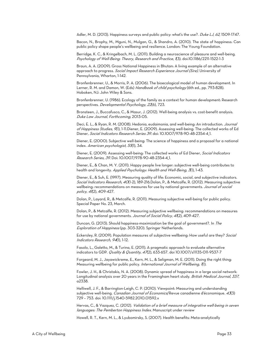Adler, M. D. (2013). Happiness surveys and public policy: what's the use?. Duke LJ, 62, 1509-1747.

Bacon, N., Brophy, M., Mguni, N., Mulgan, G., & Shandro, A. (2010). The state of happiness: Can public policy shape people's wellbeing and resilience. London: The Young Foundation.

Berridge, K. C., & Kringelbach, M. L. (2011). Building a neuroscience of pleasure and well-being. Psychology of Well-Being: Theory, Research and Practice, 1(3). doi:10.1186/2211-1522-1-3

Braun, A. A. (2009). Gross National Happiness in Bhutan: A living example of an alternative approach to progress. Social Impact Research Experience Journal (Sire). University of Pennsylvania, Wharton, 1-142.

Bronfenbrenner, U., & Morris, P. A. (2006). The bioecological model of human development. In Lerner, R. M. and Damon, W. (Eds) Handbook of child psychology (6th ed., pp. 793-828). Hoboken, NJ: John Wiley & Sons.

Bronfenbrenner, U. (1986). Ecology of the family as a context for human development: Research perspectives. Developmental Psychology, 22(6), 723.

Bronsteen, J., Buccafusco, C., & Masur, J. (2012). Well-being analysis vs. cost-benefit analysis. Duke Law Journal, Forthcoming, 2013-05.

Deci, E. L., & Ryan, R. M. (2008). Hedonia, eudaimonia, and well-being: An introduction. Journal of Happiness Studies, 9(1), 1-11.Diener, E. (2009). Assessing well-being: The collected works of Ed Diener, Social Indicators Research Series 39. doi: 10.1007/978-90-48-2354-4\_1.

Diener, E. (2000). Subjective well-being: The science of happiness and a proposal for a national index. American psychologist, 55(1), 34.

Diener, E. (2009). Assessing well-being: The collected works of Ed Diener, Social Indicators Research Series, 39. Doi: 10:1007/978-90-48-2354-4\_1.

Diener, E., & Chan, M. Y. (2011). Happy people live longer: subjective well‐being contributes to health and longevity. Applied Psychology: Health and Well-Being, 3(1), 1-43.

Diener, E., & Suh, E. (1997). Measuring quality of life: Economic, social, and subjective indicators. Social Indicators Research, 40(1-2), 189-216. Dolan, P., & Metcalfe, R. (2012). Measuring subjective wellbeing: recommendations on measures for use by national governments. Journal of social policy, 41(2), 409-427.

Dolan, P., Layard, R., & Metcalfe, R. (2011). Measuring subjective well-being for public policy. Special Paper No. 23, March.

Dolan, P., & Metcalfe, R. (2012). Measuring subjective wellbeing: recommendations on measures for use by national governments. Journal of Social Policy, 41(2), 409-427.

Duncan, G. (2013). Should happiness-maximization be the goal of government?. In The Exploration of Happiness (pp. 303-320). Springer Netherlands.

Eckersley, R. (2009). Population measures of subjective wellbeing: How useful are they? Social Indicators Research, 94(1), 1-12.

Fasolo, L., Galetto, M., & Turina, E. (2011). A pragmatic approach to evaluate alternative indicators to GDP. Quality & Quantity, 47(2), 633-657. doi 10.1007/s11135-011-9537-7

Forgeard, M. J., Jayawickreme, E., Kern, M. L., & Seligman, M. E. (2011). Doing the right thing: Measuring wellbeing for public policy. International Journal of Wellbeing, (1).

Fowler, J. H., & Christakis, N. A. (2008). Dynamic spread of happiness in a large social network: Longitudinal analysis over 20 years in the Framingham heart study. British Medical Journal, 337, a2338.

Helliwell, J. F., & Barrington-Leigh, C. P. (2010). Viewpoint: Measuring and understanding subjective well-being. Canadian Journal of Economics/Revue canadienne d'économique. 43(3) 729 – 753. doi: 10.1111/j.1540-5982.2010.01592.x

Hervas, C., & Vazquez, C. (2012). Validation of a brief measure of integrative well-being in seven languages: The Pemberton Happiness Index. Manuscript under review

Howell, R. T., Kern, M. L., & Lyubomirsky, S. (2007). Health benefits: Meta-analytically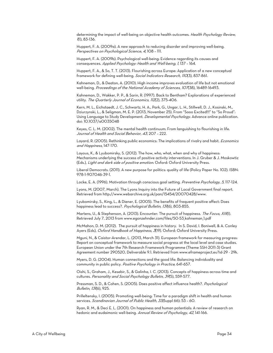determining the impact of well-being on objective health outcomes. Health Psychology Review, <sup>1</sup>(1), 83-136.

Huppert, F. A. (2009a). A new approach to reducing disorder and improving well-being. Perspectives on Psychological Science, 4, 108 – 111.

Huppert, F. A. (2009b). Psychological well-being: Evidence regarding its causes and consequences. Applied Psychology: Health and Well-being, 1, 137 – 164.

Huppert, F. A., & So, T. T. (2013). Flourishing across Europe: Application of a new conceptual framework for defining well-being. Social Indicators Research, 110(3), 837-861.

Kahneman, D., & Deaton, A. (2010). High income improves evaluation of life but not emotional well-being. Proceedings of the National Academy of Sciences, 107(38), 16489-16493.

Kahneman, D., Wakker, P. P., & Sarin, R. (1997). Back to Bentham? Explorations of experienced utility. The Quarterly Journal of Economics, 112(2), 375-406.

Kern, M. L., Eichstaedt, J. C., Schwartz, H. A., Park, G., Ungar, L. H., Stillwell, D. J., Kosinski, M., Dziurzynski, L., & Seligman, M. E. P. (2013, November 25). From "Sooo Excited!!!" to "So Proud": Using Language to Study Development. *Developmental Psychology*. Advance online publication. doi: 10.1037/a0035048

Keyes, C. L. M. (2002). The mental health continuum: From languishing to flourishing in life. Journal of Health and Social Behavior, 43, 207 – 222.

Layard, R. (2005). Rethinking public economics: The implications of rivalry and habit. *Economics* and Happiness, 147-170.

Layous, K., & Lyubomirsky, S. (2012). The how, who, what, when and why of happiness: Mechanisms underlying the success of positive activity interventions. In J. Gruber & J. Moskowtiz (Eds.), Light and dark side of positive emotion. Oxford: Oxford University Press.

Liberal Democrats. (2011). A new purpose for politics: quality of life (Policy Paper No. 102). ISBN: 978-1-907046-39-1.

Locke, E. A. (1996). Motivation through conscious goal setting. Preventive Psychology, 5, 117-124.

Lyons, M. (2007, March). The Lyons Inquiry into the Future of Local Government final report. Retrieved from http://www.webarchive.org.uk/pan/15454/20070428/www.

Lyubomirsky, S., King, L., & Diener, E. (2005). The benefits of frequent positive affect: Does happiness lead to success?. Psychological Bulletin, 131(6), 803-855.

Martens, U., & Stephenson, A. (2013). Encounter: The pursuit of happiness. The Focus, XIII(I). Retrieved July 7, 2013 from www.egonzehnder.com/files/50-53\_kahneman\_1.pdf

McMahon, D. M. (2012). The pursuit of happiness in history. In S. David, I. Boniwell, & A. Conley Ayers (Eds), Oxford Handbook of Happiness, 3(19). Oxford: Oxford University Press.

Mguni, N., & Caistor-Arendar, L. (2013, March 31). European framework for measuring progress: Report on conceptual framework to measure social progress at the local level and case studies. European Union under the 7th Research Framework Programme (Theme SSH-2011-3) Grant Agreement number 290520, Deliverable 9.1. Retrieved from www.eframeproject.eu?id-29 - 29k.

Myers, D. G. (2004). Human connections and the good life: Balancing individuality and community in public policy. Positive Psychology in Practice, 641-657.

Oishi, S., Graham, J., Kesebir, S., & Galinha, I. C. (2013). Concepts of happiness across time and cultures. Personality and Social Psychology Bulletin, 39(5), 559-577.

Pressman, S. D., & Cohen, S. (2005). Does positive affect influence health?. Psychological Bulletin, 131(6), 925.

Prilleltensky, I. (2005). Promoting well-being: Time for a paradigm shift in health and human services. Scandinavian Journal of Public Health, 33(Suppl 66): 53 - 60.

Ryan, R. M., & Deci E. L. (2001). On happiness and human potentials: A review of research on hedonic and eudaimonic well-being. Annual Review of Psychology, 42, 141-166.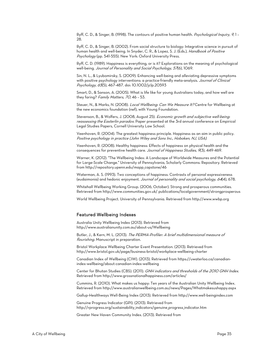Ryff, C. D., & Singer, B. (1998). The contours of positive human health. Psychological Inquiry, 9, 1 -28.

Ryff, C. D., & Singer, B. (2002). From social structure to biology: Integrative science in pursuit of human health and well-being. In Snyder, C. R., & Lopez, S. J. (Eds.), *Handbook of Positive* Psychology (pp. 541-555). New York: Oxford University Press.

Ryff, C. D. (1989). Happiness is everything, or is it? Explorations on the meaning of psychological well-being. Journal of Personality and Social Psychology, 57(6), 1069.

Sin, N. L., & Lyubomirsky, S. (2009). Enhancing well-being and alleviating depressive symptoms with positive psychology interventions: a practice-friendly meta-analysis. Journal of Clinical Psychology, 65(5), 467-487. doi: 10.1002/jclp.20593

Smart, D., & Sanson, A. (2005). What is life like for young Australians today, and how well are they faring? Family Matters, 70, 46 - 53.

Steuer, N., & Marks, N. (2008). Local Wellbeing: Can We Measure It? Centre for Wellbeing at the new economics foundation (nef), with Young Foundation.

Stevenson, B., & Wolfers, J. (2008, August 25). Economic growth and subjective well-being: reassessing the Easterlin paradox. Paper presented at the 3rd annual conference on Empirical Legal Studies Papers, Cornell University Law School.

Veenhoven, R. (2004). The greatest happiness principle. Happiness as an aim in public policy. Positive psychology in practice (John Wiley and Sons Inc., Hoboken, NJ, USA).

Veenhoven, R. (2008). Healthy happiness: Effects of happiness on physical health and the consequences for preventive health care. Journal of Happiness Studies, 9(3), 449-469.

Warner, K. (2012). "The Wellbeing Index: A Landscape of Worldwide Measures and the Potential for Large-Scale Change." University of Pennsylvania, Scholarly Commons: Repository. Retrieved from http://repository.upenn.edu/mapp\_capstone/46

Waterman, A. S. (1993). Two conceptions of happiness: Contrasts of personal expressiveness (eudaimonia) and hedonic enjoyment. Journal of personality and social psychology, 64(4), 678.

Whitehall Wellbeing Working Group. (2006, October). Strong and prosperous communities. Retrieved from http://www.communities.gov.uk/ publications/localgovernment/strongprosperous

World Wellbeing Project. University of Pennsylvania. Retrieved from http://www.wwbp.org

#### Featured Wellbeing Indexes

Australia Unity Wellbeing Index (2013). Retrieved from http://www.australianunity.com.au/about-us/Wellbeing

Butler, J., & Kern, M. L. (2013). The PERMA-Profiler: A brief multidimensional measure of flourishing. Manuscript in preparation.

Bristol Workplace Wellbeing Charter Event Presentation. (2013). Retrieved from http://www.bristol.gov.uk/page/business-bristol/workplace-wellbeing-charter

Canadian Index of Wellbeing (CIW). (2013). Retrieved from https://uwaterloo.ca/canadianindex-wellbeing/about-canadian-index-wellbeing

Center for Bhutan Studies (CBS). (2011). GNH indicators and thresholds of the 2010 GNH Index. Retrieved from http://www.grossnationalhappiness.com/articles/

Cummins, R. (2010). What makes us happy: Ten years of the Australian Unity Wellbeing Index. Retrieved from http://www.australianwellbeing.com.au/news/Pages/Whatmakesushappy.aspx

Gallup-Healthways Well-Being Index (2013). Retrieved from http://www.well-beingindex.com

Genuine Progress Indicator (GPI). (2013). Retrieved from http://rprogress.org/sustainability\_indicators/genuine\_progress\_indicator.htm

Greater New Haven Community Index. (2013). Retrieved from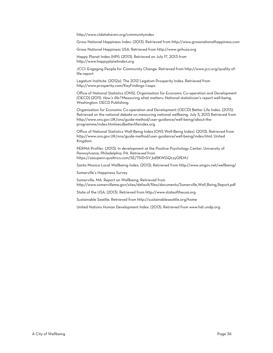http://www.ctdatahaven.org/communityindex

Gross National Happiness Index. (2013). Retrieved from http://www.grossnationalhappiness.com

Gross National Happiness USA. Retrieved from http://www.gnhusa.org

Happy Planet Index (HPI). (2013). Retrieved on July 17, 2013 from http://www.happyplanetindex.org

JCCI: Engaging People for Community Change. Retrieved from http://www.jcci.org/quality-oflife-report

Legatum Institute. (2012a). The 2012 Legatum Prosperity Index. Retrieved from http://www.prosperity.com/KeyFindings-1.aspx

Office of National Statistics (ONS). Organisation for Economic Co-operation and Development (OECD) (2011). How's life? Measuring what matters: National statistician's report well-being. Washington: OECD Publishing.

Organisation for Economic Co-operation and Development (OECD) Better Life Index. (2013). Retrieved on the national debate on measuring national wellbeing. July 5, 2013 Retrieved from http://www.ons.gov.UK/ons/guide-method/user-guidance/well-being/about-theprogramme/index.htmloecdbetterlifeindex.org

Office of National Statistics Well-Being Index (ONS Well-Being Index). (2013). Retrieved from http://www.ons.gov.UK/ons/guide-method/user-guidance/well-being/index.html, United Kingdom.

PERMA-Profiler. (2013). In development at the Positive Psychology Center, University of Pennsylvania, Philadelphia, PA. Retrieved from https://sasupenn.qualtrics.com/SE/?SID=SV\_bd5KWGQczyGfEMJ

Santa Monica Local Wellbeing Index. (2013). Retrieved from http://www.smgov.net/wellbeing/

Somerville's Happiness Survey

Somerville, MA. Report on Wellbeing. Retrieved from http://www.somervillema.gov/sites/default/files/documents/Somerville\_Well\_Being\_Report.pdf

State of the USA. (2013). Retrieved from http://www.stateoftheusa.org

Sustainable Seattle. Retrieved from http://sustainableseattle.org/home

United Nations Human Development Index. (2013). Retrieved from www.hdr.undp.org.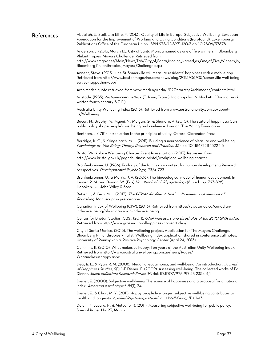#### References Abdallah, S., Stoll, L.,& Eiffe, F. (2013). Quality of Life in Europe: Subjective Wellbeing. European Foundation for the Improvement of Working and Living Conditions (Eurofound). Luxembourg: Publications Office of the European Union. ISBN 978-92-8971-120-3 doi:10.2806/37878

Anderson, J. (2013, March 13). City of Santa Monica named as one of five winners in Bloomberg Philanthropies' Mayors Challenge. Retrieved from http://www.smgov.net/Main/News\_Tab/City\_of\_Santa\_Monica\_Named\_as\_One\_of\_Five\_Winners\_in\_ Bloomberg\_Philanthropies'\_Mayors\_Challenge.aspx

Annear, Steve. (2013, June 5). Somerville will measure residents' happiness with a mobile app. Retrieved from http://www.bostonmagazine.com/news/blog/2013/06/05/somerville-well-beingsurvey-happathon-app/

Archimedes quote retrieved from www.math.nyu.edu/~%20crorres/Archimedes/contents.html

Aristotle. (1985). Nichomachean ethics. (T. Irwin, Trans.). Indianapolis, IN: Hackett. (Original work written fourth century B.C.E.).

Australia Unity Wellbeing Index (2013). Retrieved from www.australianunity.com.au/aboutus/Wellbeing

Bacon, N., Brophy, M., Mguni, N., Mulgan, G., & Shandro, A. (2010). The state of happiness: Can public policy shape people's wellbeing and resilience. London: The Young Foundation.

Bentham, J. (1781). Introduction to the principles of utility. Oxford: Clarendon Press.

Berridge, K. C., & Kringelbach, M. L. (2011). Building a neuroscience of pleasure and well-being. Psychology of Well-Being: Theory, Research and Practice, (3). doi:10.1186/2211-1522-1-3

Bristol Workplace Wellbeing Charter Event Presentation. (2013). Retrieved from http://www.bristol.gov.uk/page/business-bristol/workplace-wellbeing-charter

Bronfenbrenner, U. (1986). Ecology of the family as a context for human development: Research perspectives. Developmental Psychology, 22(6), 723.

Bronfenbrenner, U., & Morris, P. A. (2006). The bioecological model of human development. In Lerner, R. M. and Damon, W. (Eds) Handbook of child psychology (6th ed., pp. 793-828). Hoboken, NJ: John Wiley & Sons.

Butler, J., & Kern, M. L. (2013). The PERMA-Profiler: A brief multidimensional measure of flourishing. Manuscript in preparation.

Canadian Index of Wellbeing (CIW). (2013). Retrieved from https://uwaterloo.ca/canadianindex-wellbeing/about-canadian-index-wellbeing

Center for Bhutan Studies (CBS). (2011). GNH indicators and thresholds of the 2010 GNH Index. Retrieved from http://www.grossnationalhappiness.com/articles/

City of Santa Monica. (2013). The wellbeing project. Application for The Mayors Challenge, Bloomberg Philanthropies Finalist. Wellbeing index application shared in conference call notes, University of Pennsylvania, Positive Psychology Center (April 24, 2013).

Cummins, R. (2010). What makes us happy: Ten years of the Australian Unity Wellbeing Index. Retrieved from http://www.australianwellbeing.com.au/news/Pages/ Whatmakesushappy.aspx

Deci, E. L., & Ryan, R. M. (2008). Hedonia, eudaimonia, and well-being: An introduction. Journal of Happiness Studies, 9(1), 1-11.Diener, E. (2009). Assessing well-being: The collected works of Ed Diener, Social Indicators Research Series 39. doi: 10.1007/978-90-48-2354-4\_1.

Diener, E. (2000). Subjective well-being: The science of happiness and a proposal for a national index. American psychologist, 55(1), 34.

Diener, E., & Chan, M. Y. (2011). Happy people live longer: subjective well‐being contributes to health and longevity. Applied Psychology: Health and Well-Being, 3(1), 1-43.

Dolan, P., Layard, R., & Metcalfe, R. (2011). Measuring subjective well-being for public policy. Special Paper No. 23, March.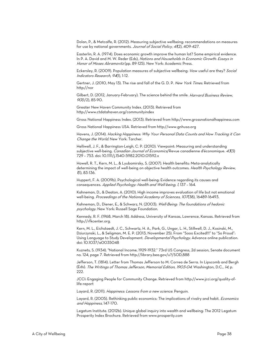Dolan, P., & Metcalfe, R. (2012). Measuring subjective wellbeing: recommendations on measures for use by national governments. Journal of Social Policy, 41(2), 409-427.

Easterlin, R. A. (1974). Does economic growth improve the human lot? Some empirical evidence. In P. A. David and M. W. Reder (Eds), Nations and Households in Economic Growth: Essays in Honor of Moses Abramovitz (pp. 89-125). New York: Academic Press.

Eckersley, R. (2009). Population measures of subjective wellbeing: How useful are they? Social Indicators Research, 94(1), 1-12.

Gertner, J. (2010, May 13). The rise and fall of the G. D. P. New York Times. Retrieved from http://nor

Gilbert, D. (2012, January-February). The science behind the smile. Harvard Business Review,  $90(1/2)$ , 85-90.

Greater New Haven Community Index. (2013). Retrieved from http://www.ctdatahaven.org/communityindex

Gross National Happiness Index. (2013). Retrieved from http://www.grossnationalhappiness.com

Gross National Happiness USA. Retrieved from http://www.gnhusa.org

Havens, J. (2014). Hacking Happiness: Why Your Personal Data Counts and How Tracking it Can Change the World. New York: Tarcher.

Helliwell, J. F., & Barrington-Leigh, C. P. (2010). Viewpoint: Measuring and understanding subjective well-being. Canadian Journal of Economics/Revue canadienne d'économique. 43(3) 729 – 753. doi: 10.1111/j.1540-5982.2010.01592.x

Howell, R. T., Kern, M. L., & Lyubomirsky, S. (2007). Health benefits: Meta-analytically determining the impact of well-being on objective health outcomes. Health Psychology Review, <sup>1</sup>(1), 83-136.

Huppert, F. A. (2009b). Psychological well-being: Evidence regarding its causes and consequences. Applied Psychology: Health and Well-being, 1, 137 – 164.

Kahneman, D., & Deaton, A. (2010). High income improves evaluation of life but not emotional well-being. Proceedings of the National Academy of Sciences, 107(38), 16489-16493.

Kahneman, D., Diener, E., & Schwarz, N. (2003). Well-Being: The foundations of hedonic psychology. New York: Russell Sage Foundation.

Kennedy, R. F. (1968, March 18). Address, University of Kansas, Lawrence, Kansas. Retrieved from http://rfkcenter.org.

Kern, M. L., Eichstaedt, J. C., Schwartz, H. A., Park, G., Ungar, L. H., Stillwell, D. J., Kosinski, M., Dziurzynski, L., & Seligman, M. E. P. (2013, November 25). From "Sooo Excited!!!" to "So Proud": Using Language to Study Development. Developmental Psychology. Advance online publication. doi: 10.1037/a0035048

Kuznets, S. (1934). "National Income, 1929-1932." 73rd US Congress, 2d session, Senate document no. 124, page 7. Retrieved from http://library.bea.gov/u?/SOD,888

Jefferson, T. (1814). Letter from Thomas Jefferson to M. Correa de Serra. In Lipscomb and Bergh (Eds). The Writings of Thomas Jefferson, Memorial Edition, 1903-04. Washington, D.C., 14, p. 222.

JCCI: Engaging People for Community Change. Retrieved from http://www.jcci.org/quality-oflife-report

Layard, R. (2011). Happiness: Lessons from a new science. Penguin.

Layard, R. (2005). Rethinking public economics: The implications of rivalry and habit. *Economics* and Happiness, 147-170.

Legatum Institute. (2012b). Unique global inquiry into wealth and wellbeing: The 2012 Legatum Prosperity Index Brochure. Retrieved from www.prosperity.com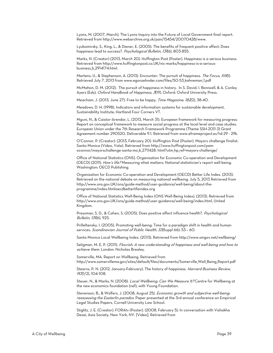Lyons, M. (2007, March). The Lyons Inquiry into the Future of Local Government final report. Retrieved from http://www.webarchive.org.uk/pan/15454/20070428/www.

Lyubomirsky, S., King, L., & Diener, E. (2005). The benefits of frequent positive affect: Does happiness lead to success?. Psychological Bulletin, 131(6), 803-855.

Marks, N. (Creator) (2013, March 20). Huffington Post (Poster). Happiness is a serious business. Retrieved from http://www.huffingtonpost.co.UK/nic-marks/happiness-is-a-seriousbusiness\_b\_2914174.html.

Martens, U., & Stephenson, A. (2013). Encounter: The pursuit of happiness. The Focus, XIII(I). Retrieved July 7, 2013 from www.egonzehnder.com/files/50-53\_kahneman\_1.pdf

McMahon, D. M. (2012). The pursuit of happiness in history. In S. David, I. Boniwell, & A. Conley Ayers (Eds), Oxford Handbook of Happiness, 3(19). Oxford: Oxford University Press.

Meacham, J. (2013, June 27). Free to be happy, Time Magazine, 182(2), 38-40.

Meadows, D. H. (1998). Indicators and information systems for sustainable development, Sustainability Institute, Hartland Four Corners VT.

Mguni, N., & Caistor-Arendar, L. (2013, March 31). European framework for measuring progress: Report on conceptual framework to measure social progress at the local level and case studies. European Union under the 7th Research Framework Programme (Theme SSH-2011-3) Grant Agreement number 290520, Deliverable 9.1. Retrieved from www.eframeproject.eu?id-29 - 29k.

O'Connor, P. (Creator). (2013, February 20). Huffington Post (Poster). Mayors challenge finalist: Santa Monica (Video, Vote). Retrieved from http://www.huffingtonpost.com/pamoconnor/mayorschallenge-santa-mo\_b\_2711428. html?utm\_hp\_ref=mayors-challenge/

Office of National Statistics (ONS). Organisation for Economic Co-operation and Development (OECD) (2011). How's life? Measuring what matters: National statistician's report well-being. Washington: OECD Publishing.

Organisation for Economic Co-operation and Development (OECD) Better Life Index. (2013). Retrieved on the national debate on measuring national wellbeing. July 5, 2013 Retrieved from http://www.ons.gov.UK/ons/guide-method/user-guidance/well-being/about-theprogramme/index.htmloecdbetterlifeindex.org

Office of National Statistics Well-Being Index (ONS Well-Being Index). (2013). Retrieved from http://www.ons.gov.UK/ons/guide-method/user-guidance/well-being/index.html, United Kingdom.

Pressman, S. D., & Cohen, S. (2005). Does positive affect influence health?. Psychological Bulletin, 131(6), 925.

Prilleltensky, I. (2005). Promoting well-being: Time for a paradigm shift in health and human services. Scandinavian Journal of Public Health, 33(Suppl 66): 53 - 60.

Santa Monica Local Wellbeing Index. (2013). Retrieved from http://www.smgov.net/wellbeing/

Seligman, M. E. P. (2011). Flourish: A new understanding of happiness and well-being and how to achieve them. London: Nicholas Brealey.

Somerville, MA. Report on Wellbeing. Retrieved from http://www.somervillema.gov/sites/default/files/documents/Somerville\_Well\_Being\_Report.pdf

Stearns, P. N. (2012, January-February). The history of happiness. Harvard Business Review, <sup>90</sup>(1/2), 104-108.

Steuer, N., & Marks, N. (2008). Local Wellbeing: Can We Measure It? Centre for Wellbeing at the new economics foundation (nef), with Young Foundation.

Stevenson, B., & Wolfers, J. (2008, August 25). Economic growth and subjective well-being: reassessing the Easterlin paradox. Paper presented at the 3rd annual conference on Empirical Legal Studies Papers, Cornell University Law School.

Stiglitz, J. E. (Creator). FORAtv (Poster). (2008, February 5). In conversation with Vishakha Desai, Asia Society, New York, NY. [Video]. Retrieved from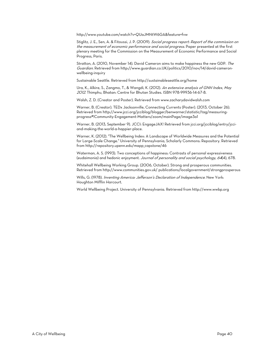http://www.youtube.com/watch?v=QUaJMNtW6GA&feature=fvw

Stiglitz, J. E., Sen, A. & Fitoussi, J. P. (2009). Social progress report: Report of the commission on the measurement of economic performance and social progress. Paper presented at the first plenary meeting for the Commission on the Measurement of Economic Performance and Social Progress, Paris.

Stratton, A. (2010, November 14). David Cameron aims to make happiness the new GDP. The Guardian. Retrieved from http://www.guardian.co.UK/politics/2010/nov/14/david-cameronwellbeing-inquiry

Sustainable Seattle. Retrieved from http://sustainableseattle.org/home

Ura, K., Alkire, S., Zangmo, T., & Wangdi, K. (2012). An extensive analysis of GNH Index, May <sup>2012</sup>. Thimphu, Bhatan: Centre for Bhutan Studies. ISBN 978-99936-14-67-8.

Walsh, Z. D. (Creator and Poster). Retrieved from www.zacharydavidwalsh.com

Warner, B. (Creator). TEDx Jacksonville, Connecting Currents (Poster). (2013, October 26). Retrieved from http://www.jcci.org/jcciblog/blogger/benwarner/statistic/tag/measuringprogress#!Community-Engagement-Matters/zoom/mainPage/image3a1

Warner, B. (2013, September 9). JCCI: EngageJAX! Retrieved from jcci.org/jcciblog/entry/jcciand-making-the-world-a-happier-place.

Warner, K. (2012). "The Wellbeing Index: A Landscape of Worldwide Measures and the Potential for Large-Scale Change." University of Pennsylvania, Scholarly Commons: Repository. Retrieved from http://repository.upenn.edu/mapp\_capstone/46

Waterman, A. S. (1993). Two conceptions of happiness: Contrasts of personal expressiveness (eudaimonia) and hedonic enjoyment. Journal of personality and social psychology, 64(4), 678.

Whitehall Wellbeing Working Group. (2006, October). Strong and prosperous communities. Retrieved from http://www.communities.gov.uk/ publications/localgovernment/strongprosperous

Wills, G. (1978). Inventing America: Jefferson's Declaration of Independence. New York: Houghton Mifflin Harcourt.

World Wellbeing Project. University of Pennsylvania. Retrieved from http://www.wwbp.org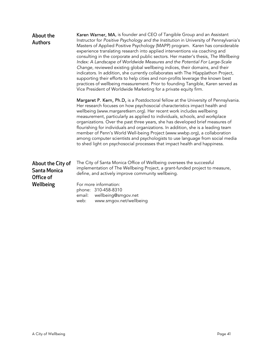| About the<br><b>Authors</b>                    | Karen Warner, MA, is founder and CEO of Tangible Group and an Assistant<br>Instructor for Positive Psychology and the Institution in University of Pennsylvania's<br>Masters of Applied Positive Psychology (MAPP) program. Karen has considerable<br>experience translating research into applied interventions via coaching and<br>consulting in the corporate and public sectors. Her master's thesis, The Wellbeing<br>Index: A Landscape of Worldwide Measures and the Potential For Large-Scale<br>Change, reviewed existing global wellbeing indices, their domains, and their<br>indicators. In addition, she currently collaborates with The H(app)athon Project,<br>supporting their efforts to help cities and non-profits leverage the known best<br>practices of wellbeing measurement. Prior to founding Tangible, Karen served as<br>Vice President of Worldwide Marketing for a private equity firm. |  |  |
|------------------------------------------------|----------------------------------------------------------------------------------------------------------------------------------------------------------------------------------------------------------------------------------------------------------------------------------------------------------------------------------------------------------------------------------------------------------------------------------------------------------------------------------------------------------------------------------------------------------------------------------------------------------------------------------------------------------------------------------------------------------------------------------------------------------------------------------------------------------------------------------------------------------------------------------------------------------------------|--|--|
|                                                | Margaret P. Kern, Ph.D, is a Postdoctoral fellow at the University of Pennsylvania.<br>Her research focuses on how psychosocial characteristics impact health and<br>wellbeing (www.margaretkern.org). Her recent work includes wellbeing<br>measurement, particularly as applied to individuals, schools, and workplace<br>organizations. Over the past three years, she has developed brief measures of<br>flourishing for individuals and organizations. In addition, she is a leading team<br>member of Penn's World Well-being Project (www.wwbp.org), a collaboration<br>among computer scientists and psychologists to use language from social media<br>to shed light on psychosocial processes that impact health and happiness.                                                                                                                                                                            |  |  |
| About the City of<br>Santa Monica<br>Office of | The City of Santa Monica Office of Wellbeing oversees the successful<br>implementation of The Wellbeing Project, a grant-funded project to measure,<br>define, and actively improve community wellbeing.                                                                                                                                                                                                                                                                                                                                                                                                                                                                                                                                                                                                                                                                                                             |  |  |
| Wellbeing                                      | For more information:<br>phone: 310-458-8310<br>email:<br>wellbeing@smgov.net<br>web:<br>www.smgov.net/wellbeing                                                                                                                                                                                                                                                                                                                                                                                                                                                                                                                                                                                                                                                                                                                                                                                                     |  |  |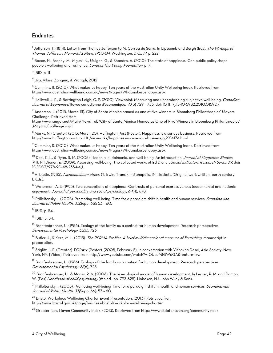## Endnotes

 $\overline{a}$ 

 $^{\rm l}$  Jefferson, T. (1814). Letter from Thomas Jefferson to M. Correa de Serra. In Lipscomb and Bergh (Eds). *The Writings of* Thomas Jefferson, Memorial Edition, 1903-04. Washington, D.C., 14, p. 222.

 $2$  Bacon, N., Brophy, M., Mguni, N., Mulgan, G., & Shandro, A. (2010). The state of happiness: Can public policy shape people's wellbeing and resilience. London: The Young Foundation, p. 7.

 $^3$  IBID, p. 11

4 Ura, Alkire, Zangmo, & Wangdi, 2012

 $^5$  Cummins, R. (2010). What makes us happy: Ten years of the Australian Unity Wellbeing Index. Retrieved from http://www.australianwellbeing.com.au/news/Pages/Whatmakesushappy.aspx

<sup>6</sup> Helliwell, J. F., & Barrington-Leigh, C. P. (2010). Viewpoint: Measuring and understanding subjective well-being. *Canadian* Journal of Economics/Revue canadienne d'économique. 43(3) 729 - 753. doi: 10.1111/j.1540-5982.2010.01592.x

 $^7$  Anderson, J. (2013, March 13). City of Santa Monica named as one of five winners in Bloomberg Philanthropies' Mayors Challenge. Retrieved from

http://www.smgov.net/Main/News\_Tab/City\_of\_Santa\_Monica\_Named\_as\_One\_of\_Five\_Winners\_in\_Bloomberg\_Philanthropies' \_Mayors\_Challenge.aspx

 $^8$  Marks, N. (Creator) (2013, March 20). Huffington Post (Poster). Happiness is a serious business. Retrieved from http://www.huffingtonpost.co.U.K./nic-marks/happiness-is-a-serious-business\_b\_2914174.html

 $^9$  Cummins, R. (2010). What makes us happy: Ten years of the Australian Unity Wellbeing Index. Retrieved from http://www.australianwellbeing.com.au/news/Pages/Whatmakesushappy.aspx

<sup>10</sup> Deci, E. L., & Ryan, R. M. (2008). Hedonia, eudaimonia, and well-being: An introduction. *Journal of Happiness Studies*, <sup>9</sup>(1), 1-11.Diener, E. (2009). Assessing well-being: The collected works of Ed Diener, Social Indicators Research Series 39. doi: 10.1007/978-90-48-2354-4\_1.

<sup>11</sup> Aristotle. (1985). *Nichomachean ethics.* (T. Irwin, Trans.). Indianapolis, IN: Hackett. (Original work written fourth century B.C.E.).

<sup>12</sup> Waterman, A. S. (1993). Two conceptions of happiness: Contrasts of personal expressiveness (eudaimonia) and hedonic enjoyment. Journal of personality and social psychology, 64(4), 678.

<sup>13</sup> Prilleltensky, I. (2005). Promoting well-being: Time for a paradigm shift in health and human services. *Scandinavian* Journal of Public Health, 33(Suppl 66): 53 – 60.

<sup>14</sup> IBID, p. 54.

 $15$  IBID, p. 54.

<sup>16</sup> Bronfenbrenner, U. (1986). Ecology of the family as a context for human development: Research perspectives. Developmental Psychology, 22(6), 723.

<sup>17</sup> Butler, J., & Kern, M. L. (2013). *The PERMA-Profiler: A brief multidimensional measure of flourishing.* Manuscript in preparation.

<sup>18</sup> Stiglitz, J. E. (Creator). FORAtv (Poster). (2008, February 5). In conversation with Vishakha Desai, Asia Society, New York, NY. [Video]. Retrieved from http://www.youtube.com/watch?v=QUaJMNtW6GA&feature=fvw

<sup>19</sup> Bronfenbrenner, U. (1986). Ecology of the family as a context for human development: Research perspectives. Developmental Psychology, 22(6), 723.

 $^{20}$  Bronfenbrenner, U., & Morris, P. A. (2006). The bioecological model of human development. In Lerner, R. M. and Damon, W. (Eds) Handbook of child psychology (6th ed., pp. 793-828). Hoboken, NJ: John Wiley & Sons.

<sup>21</sup> Prilleltensky, I. (2005). Promoting well-being: Time for a paradigm shift in health and human services. *Scandinavian* Journal of Public Health, 33(Suppl 66): 53 – 60.

<sup>22</sup> Bristol Workplace Wellbeing Charter Event Presentation. (2013). Retrieved from http://www.bristol.gov.uk/page/business-bristol/workplace-wellbeing-charter

<sup>23</sup> Greater New Haven Community Index. (2013). Retrieved from http://www.ctdatahaven.org/communityindex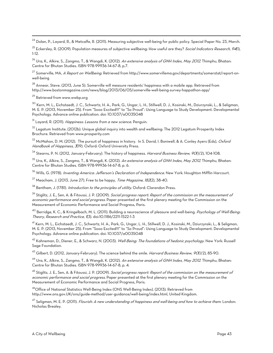<sup>24</sup> Dolan, P., Layard, R., & Metcalfe, R. (2011). Measuring subjective well-being for public policy. Special Paper No. 23, March.

 $^{25}$  Eckersley, R. (2009). Population measures of subjective wellbeing: How useful are they? Social Indicators Research, 94(1), 1-12.

<sup>26</sup> Ura, K., Alkire, S., Zangmo, T., & Wangdi, K. (2012). *An extensive analysis of GNH Index, May 2012*. Thimphu, Bhatan: Centre for Bhutan Studies. ISBN 978-99936-14-67-8, p.7.

 $^{27}$  Somerville, MA, *A Report on Wellbeing*. Retrieved from http://www.somervillema.gov/departments/somerstat/report-onwell-being

 $^{28}$  Annear, Steve. (2013, June 5). Somerville will measure residents' happiness with a mobile app. Retrieved from http://www.bostonmagazine.com/news/blog/2013/06/05/somerville-well-being-survey-happathon-app/

<sup>29</sup> Retrieved from www.wwbp.org

 $\overline{a}$ 

30 Kern, M. L., Eichstaedt, J. C., Schwartz, H. A., Park, G., Ungar, L. H., Stillwell, D. J., Kosinski, M., Dziurzynski, L., & Seligman, M. E. P. (2013, November 25). From "Sooo Excited!!!" to "So Proud": Using Language to Study Development. Developmental Psychology. Advance online publication. doi: 10.1037/a0035048

<sup>31</sup> Layard, R. (2011). *Happiness: Lessons from a new science*. Penguin.

<sup>32</sup> Legatum Institute. (2012b). Unique global inquiry into wealth and wellbeing: The 2012 Legatum Prosperity Index Brochure. Retrieved from www.prosperity.com

 $^{33}$  McMahon, D. M. (2012). The pursuit of happiness in history. In S. David, I. Boniwell, & A. Conley Ayers (Eds), *Oxford* Handbook of Happiness, 3(19). Oxford: Oxford University Press.

<sup>34</sup> Stearns, P. N. (2012, January-February). The history of happiness. Harvard Business Review, 90(1/2), 104-108.

<sup>35</sup> Ura, K., Alkire, S., Zangmo, T., & Wangdi, K. (2012). *An extensive analysis of GNH Index, May 2012*. Thimphu, Bhatan: Centre for Bhutan Studies. ISBN 978-99936-14-67-8, p. 6.

<sup>36</sup> Wills, G. (1978). *Inventing America: Jefferson's Declaration of Independence*. New York: Houghton Mifflin Harcourt.

 $^{37}$  Meacham, J. (2013, June 27). Free to be happy, *Time Magazine, 182*(2), 38-40.

<sup>38</sup> Bentham, J. (1781). *Introduction to the principles of utility*. Oxford: Clarendon Press.

39 Stiglitz, J. E., Sen, A. & Fitoussi, J. P. (2009). Social progress report: Report of the commission on the measurement of economic performance and social progress. Paper presented at the first plenary meeting for the Commission on the Measurement of Economic Performance and Social Progress, Paris.

<sup>40</sup> Berridge, K. C., & Kringelbach, M. L. (2011). Building a neuroscience of pleasure and well-being. *Psychology of Well-Being:* Theory, Research and Practice, 1(3). doi:10.1186/2211-1522-1-3

41 Kern, M. L., Eichstaedt, J. C., Schwartz, H. A., Park, G., Ungar, L. H., Stillwell, D. J., Kosinski, M., Dziurzynski, L., & Seligman, M. E. P. (2013, November 25). From "Sooo Excited!!!" to "So Proud": Using Language to Study Development. Developmental Psychology. Advance online publication. doi: 10.1037/a0035048

<sup>42</sup> Kahneman, D., Diener, E., & Schwarz, N. (2003). *Well-Being: The foundations of hedonic psychology.* New York: Russell Sage Foundation.

<sup>43</sup> Gilbert, D. (2012, January-February). The science behind the smile. Harvard Business Review, 90(1/2), 85-90.

<sup>44</sup> Ura, K., Alkire, S., Zangmo, T., & Wangdi, K. (2012). *An extensive analysis of GNH Index, May 2012*. Thimphu, Bhatan: Centre for Bhutan Studies. ISBN 978-99936-14-67-8, p. 4.

<sup>45</sup> Stiglitz, J. E., Sen, A. & Fitoussi, J. P. (2009). *Social progress report: Report of the commission on the measurement of* economic performance and social progress. Paper presented at the first plenary meeting for the Commission on the Measurement of Economic Performance and Social Progress, Paris.

46Office of National Statistics Well-Being Index (ONS Well-Being Index). (2013). Retrieved from http://www.ons.gov.UK/ons/guide-method/user-guidance/well-being/index.html, United Kingdom.

<sup>47</sup> Seligman, M. E. P. (2011). *Flourish: A new understanding of happiness and well-being and how to achieve them.* London: Nicholas Brealey.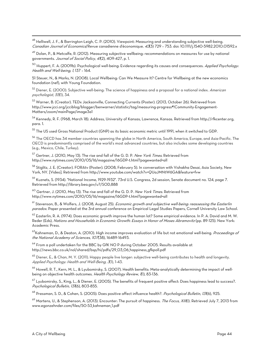48 Helliwell, J. F., & Barrington-Leigh, C. P. (2010). Viewpoint: Measuring and understanding subjective well-being. Canadian Journal of Economics/Revue canadienne d'économique. 433) 729 - 753. doi: 10.1111/j.1540-5982.2010.01592.x

 $^{49}$  Dolan, P., & Metcalfe, R. (2012). Measuring subjective wellbeing: recommendations on measures for use by national governments. Journal of Social Policy, 41(2), 409-427, p. 1.

<sup>50</sup> Huppert, F. A. (2009b). Psychological well-being: Evidence regarding its causes and consequences. *Applied Psychology:* Health and Well-being, 1, 137 – 164.

51 Steuer, N., & Marks, N. (2008). Local Wellbeing: Can We Measure It? Centre for Wellbeing at the new economics foundation (nef), with Young Foundation.

<sup>52</sup> Diener, E. (2000). Subjective well-being: The science of happiness and a proposal for a national index. *American* psychologist, 55(1), 34.

53 Warner, B. (Creator). TEDx Jacksonville, Connecting Currents (Poster). (2013, October 26). Retrieved from http://www.jcci.org/jcciblog/blogger/benwarner/statistic/tag/measuring-progress#!Community-Engagement-Matters/zoom/mainPage/image3a1

54 Kennedy, R. F. (1968, March 18). Address, University of Kansas, Lawrence, Kansas. Retrieved from http://rfkcenter.org, para. 1.

 $^{55}$  The US used Gross National Product (GNP) as its basic economic metric until 1991, when it switched to GDP.

<sup>56</sup> The OECD has 34 member countries spanning the globe in North America, South America, Europe, and Asia-Pacific. The OECD is predominantly comprised of the world's most advanced countries, but also includes some developing countries (e.g., Mexico, Chile, Turkey).

<sup>57</sup> Gertner, J. (2010, May 13). The rise and fall of the G. D. P. *New York Times*. Retrieved from http://www.nytimes.com/2010/05/16/magazine/16GDP-t.html?pagewanted=all

58 Stiglitz, J. E. (Creator). FORAtv (Poster). (2008, February 5). In conversation with Vishakha Desai, Asia Society, New York, NY. [Video]. Retrieved from http://www.youtube.com/watch?v=QUaJMNtW6GA&feature=fvw

59 Kuznets, S. (1934). "National Income, 1929-1932". 73rd U.S. Congress, 2d session, Senate document no. 124, page 7. Retrieved from http://library.bea.gov/u?/SOD,888

 $^{60}$  Gertner, J. (2010, May 13). The rise and fall of the G. D. P. New York Times. Retrieved from http://www.nytimes.com/2010/05/16/magazine/16GDP-t.html?pagewanted=all

<sup>61</sup> Stevenson, B., & Wolfers, J. (2008, August 25). *Economic growth and subjective well-being: reassessing the Easterlin* paradox. Paper presented at the 3rd annual conference on Empirical Legal Studies Papers, Cornell University Law School.

<sup>62</sup> Easterlin, R. A. (1974). Does economic growth improve the human lot? Some empirical evidence. In P. A. David and M. W. Reder (Eds), Nations and Households in Economic Growth: Essays in Honor of Moses Abramovitz (pp. 89-125). New York: Academic Press.

<sup>63</sup>Kahneman, D., & Deaton, A. (2010). High income improves evaluation of life but not emotional well-being. *Proceedings of* the National Academy of Sciences, 107(38), 16489-16493.

 $^{64}$  From a poll undertaken for the BBC by GfK NO P during October 2005. Results available at http://news.bbc.co.uk/nol/shared/bsp/hi/pdfs/29\_03\_06\_happiness\_gfkpoll.pdf

<sup>65</sup> Diener, E., & Chan, M. Y. (2011). Happy people live longer: subjective well-being contributes to health and longevity. Applied Psychology: Health and Well-Being, 3(1), 1-43.

<sup>66</sup> Howell, R. T., Kern, M. L., & Lyubomirsky, S. (2007). Health benefits: Meta-analytically determining the impact of wellbeing on objective health outcomes. Health Psychology Review, (1), 83-136.

<sup>67</sup> Lyubomirsky, S., King, L., & Diener, E. (2005). The benefits of frequent positive affect: Does happiness lead to success?. Psychological Bulletin, 131(6), 803-855.

<sup>68</sup> Pressman, S. D., & Cohen, S. (2005). Does positive affect influence health?. *Psychological Bulletin, 131*(6), 925.

<sup>69</sup> Martens, U., & Stephenson, A. (2013). Encounter: The pursuit of happiness. *The Focus, XIII*(I). Retrieved July 7, 2013 from www.egonzehnder.com/files/50-53\_kahneman\_1.pdf

 $\overline{a}$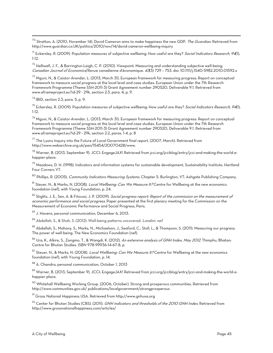<sup>70</sup> Stratton, A. (2010, November 14). David Cameron aims to make happiness the new GDP. *The Guardian.* Retrieved from http://www.guardian.co.UK/politics/2010/nov/14/david-cameron-wellbeing-inquiry

 $^{71}$  Eckersley, R. (2009). Population measures of subjective wellbeing: How useful are they? Social Indicators Research, 94(1), 1-12.

72 Helliwell, J. F., & Barrington-Leigh, C. P. (2010). Viewpoint: Measuring and understanding subjective well-being. Canadian Journal of Economics/Revue canadienne d'économique. 433) 729 - 753. doi: 10.1111/j.1540-5982.2010.01592.x

73 Mguni, N., & Caistor-Arendar, L. (2013, March 31). European framework for measuring progress: Report on conceptual framework to measure social progress at the local level and case studies. European Union under the 7th Research Framework Programme (Theme SSH-2011-3) Grant Agreement number 290520, Deliverable 9.1. Retrieved from www.eframeproject.eu?id-29 - 29k, section 2.3, para. 4, p. 9.

74 IBID, section 2.3, para. 5, p. 9.

 $\overline{a}$ 

<sup>75</sup> Eckersley, R. (2009). Population measures of subjective wellbeing: How useful are they? Social Indicators Research, 94(1), 1-12.

76 Mguni, N., & Caistor-Arendar, L. (2013, March 31). European framework for measuring progress: Report on conceptual framework to measure social progress at the local level and case studies. European Union under the 7th Research Framework Programme (Theme SSH-2011-3) Grant Agreement number 290520, Deliverable 9.1. Retrieved from www.eframeproject.eu?id-29 - 29k, section 2.2, paras. 1-4, p. 8

 $^{77}$  The Lyons Inquiry into the Future of Local Government final report. (2007, March). Retrieved from http://www.webarchive.org.uk/pan/15454/20070428/www.

78 Warner, B. (2013, September 9). JCCI: EngageJAX! Retrieved from jcci.org/jcciblog/entry/jcci-and-making-the-world-ahappier-place.

 $^{79}$  Meadows, D. H. (1998). Indicators and information systems for sustainable development, Sustainability Institute, Hartland Four Corners VT.

<sup>80</sup> Phillips, R. (2005). *Community Indicators Measuring Systems*. Chapter 5. Burlington, VT: Ashgate Publishing Company.

81 Steuer, N., & Marks, N. (2008). Local Wellbeing: Can We Measure It? Centre for Wellbeing at the new economics foundation (nef), with Young Foundation, p. 24.

<sup>82</sup> Stiglitz, J. E., Sen, A. & Fitoussi, J. P. (2009). Social progress report: Report of the commission on the measurement of economic performance and social progress. Paper presented at the first plenary meeting for the Commission on the Measurement of Economic Performance and Social Progress, Paris.

83 J. Havens, personal communication, December 6, 2013.

<sup>84</sup> Abdallah, S., & Shah, S. (2012). Well-being patterns uncovered. *London: nef.* 

85 Abdallah, S., Mahony, S., Marks, N., Michaelson, J., Seaford, C., Stoll, L., & Thompson, S. (2011). Measuring our progress: The power of well-being. The New Economics Foundation (nef).

<sup>86</sup> Ura, K., Alkire, S., Zangmo, T., & Wangdi, K. (2012). *An extensive analysis of GNH Index, May 2012*. Thimphu, Bhatan: Centre for Bhutan Studies. ISBN 978-99936-14-67-8, p.

87 Steuer, N., & Marks, N. (2008). Local Wellbeing: Can We Measure It? Centre for Wellbeing at the new economics foundation (nef), with Young Foundation, p. 14.

88 A. Chandra, personal communication, October 1, 2013

<sup>89</sup> Warner, B. (2013, September 9). JCCI: EngageJAX! Retrieved from jcci.org/jcciblog/entry/jcci-and-making-the-world-ahappier-place.

 $90$  Whitehall Wellbeing Working Group. (2006, October). Strong and prosperous communities. Retrieved from http://www.communities.gov.uk/ publications/localgovernment/strongprosperous

91 Gross National Happiness USA. Retrieved from http://www.gnhusa.org

 $^{92}$  Center for Bhutan Studies (CBS). (2011). *GNH indicators and thresholds of the 2010 GNH Index*. Retrieved from http://www.grossnationalhappiness.com/articles/